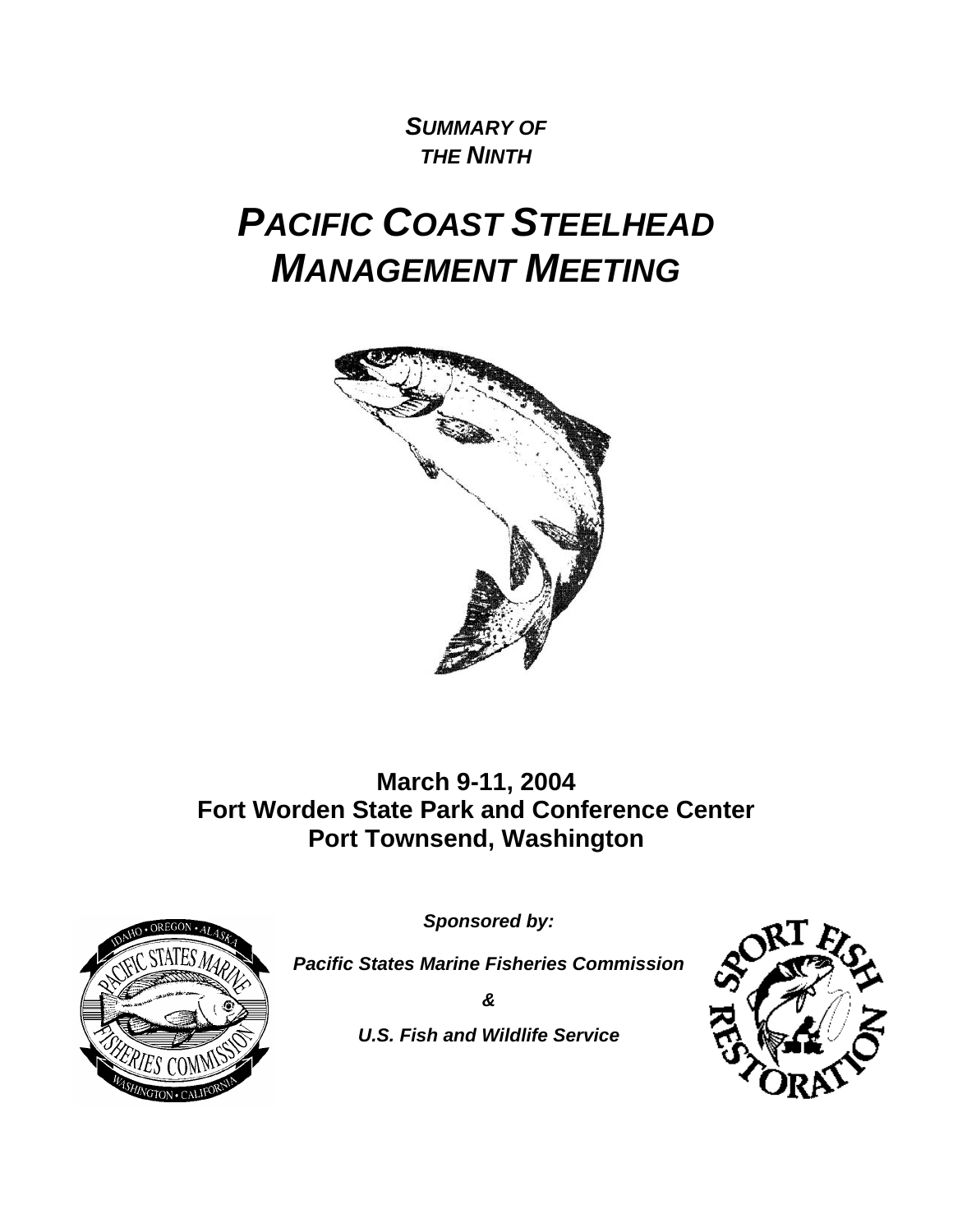# *SUMMARY OF THE NINTH*

# *PACIFIC COAST STEELHEAD MANAGEMENT MEETING*



**March 9-11, 2004 Fort Worden State Park and Conference Center Port Townsend, Washington** 



*Sponsored by:* 

*Pacific States Marine Fisheries Commission* 

*&* 

*U.S. Fish and Wildlife Service* 

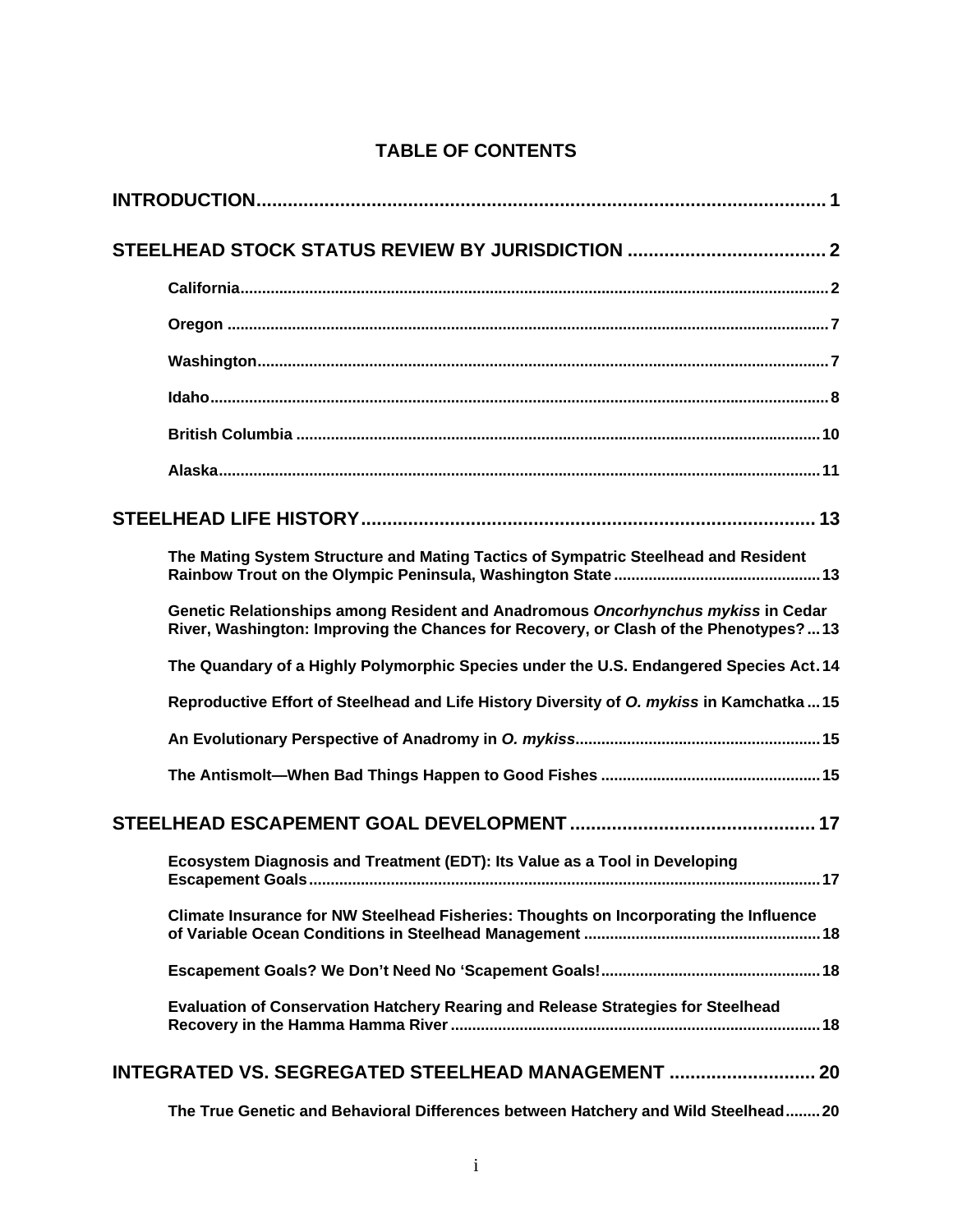| The Mating System Structure and Mating Tactics of Sympatric Steelhead and Resident                                                                                       |
|--------------------------------------------------------------------------------------------------------------------------------------------------------------------------|
| Genetic Relationships among Resident and Anadromous Oncorhynchus mykiss in Cedar<br>River, Washington: Improving the Chances for Recovery, or Clash of the Phenotypes?13 |
| The Quandary of a Highly Polymorphic Species under the U.S. Endangered Species Act. 14                                                                                   |
| Reproductive Effort of Steelhead and Life History Diversity of O. mykiss in Kamchatka15                                                                                  |
|                                                                                                                                                                          |
|                                                                                                                                                                          |
|                                                                                                                                                                          |
| Ecosystem Diagnosis and Treatment (EDT): Its Value as a Tool in Developing                                                                                               |
| Climate Insurance for NW Steelhead Fisheries: Thoughts on Incorporating the Influence                                                                                    |
|                                                                                                                                                                          |
| Evaluation of Conservation Hatchery Rearing and Release Strategies for Steelhead                                                                                         |
| INTEGRATED VS. SEGREGATED STEELHEAD MANAGEMENT  20                                                                                                                       |
| The True Genetic and Behavioral Differences between Hatchery and Wild Steelhead20                                                                                        |

# **TABLE OF CONTENTS**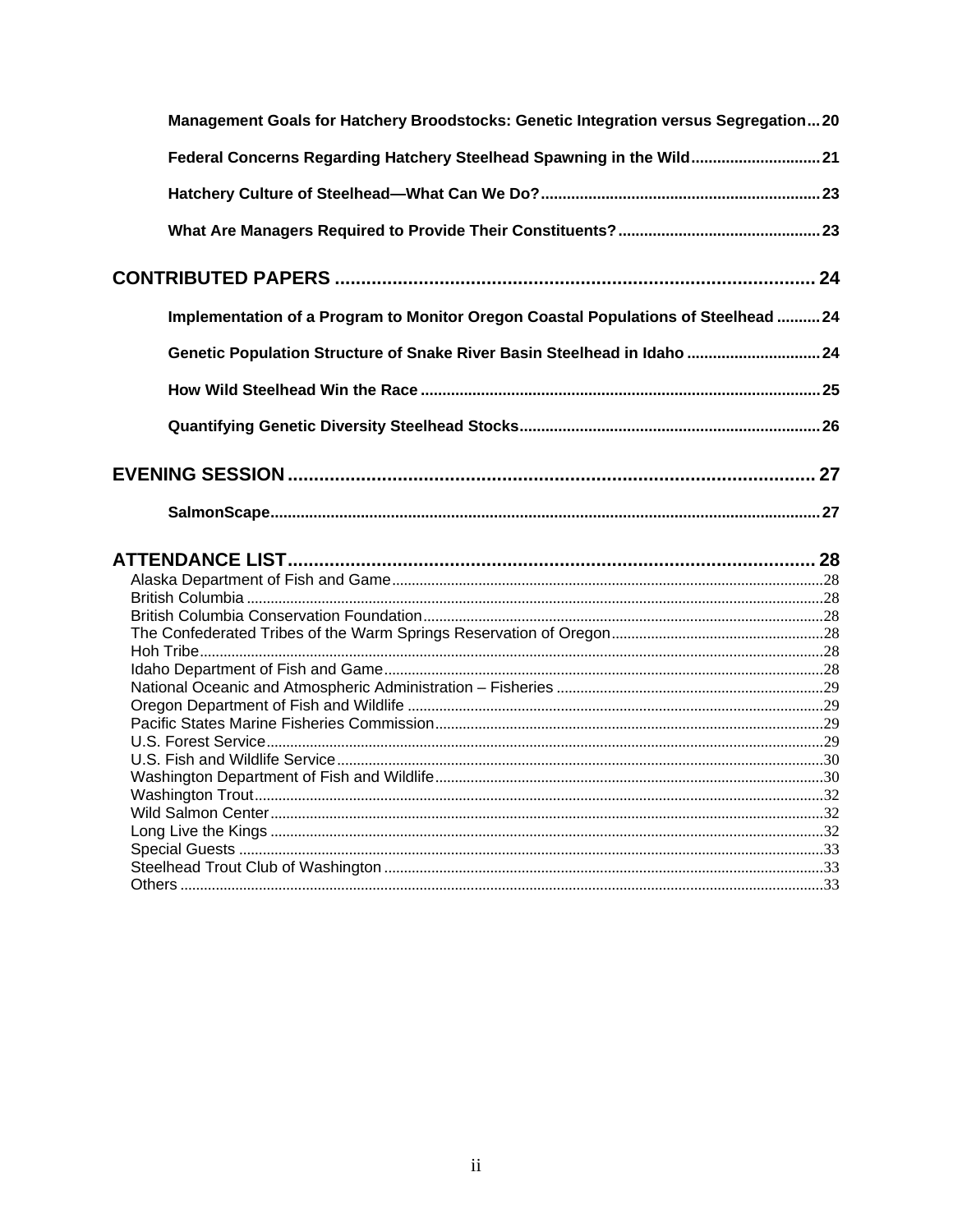| Management Goals for Hatchery Broodstocks: Genetic Integration versus Segregation20 |  |
|-------------------------------------------------------------------------------------|--|
| Federal Concerns Regarding Hatchery Steelhead Spawning in the Wild21                |  |
|                                                                                     |  |
|                                                                                     |  |
|                                                                                     |  |
| Implementation of a Program to Monitor Oregon Coastal Populations of Steelhead  24  |  |
| Genetic Population Structure of Snake River Basin Steelhead in Idaho  24            |  |
|                                                                                     |  |
|                                                                                     |  |
|                                                                                     |  |
|                                                                                     |  |
|                                                                                     |  |
|                                                                                     |  |
|                                                                                     |  |
|                                                                                     |  |
|                                                                                     |  |
|                                                                                     |  |
|                                                                                     |  |
|                                                                                     |  |
|                                                                                     |  |
|                                                                                     |  |
|                                                                                     |  |
|                                                                                     |  |
|                                                                                     |  |
|                                                                                     |  |
|                                                                                     |  |
|                                                                                     |  |
|                                                                                     |  |
|                                                                                     |  |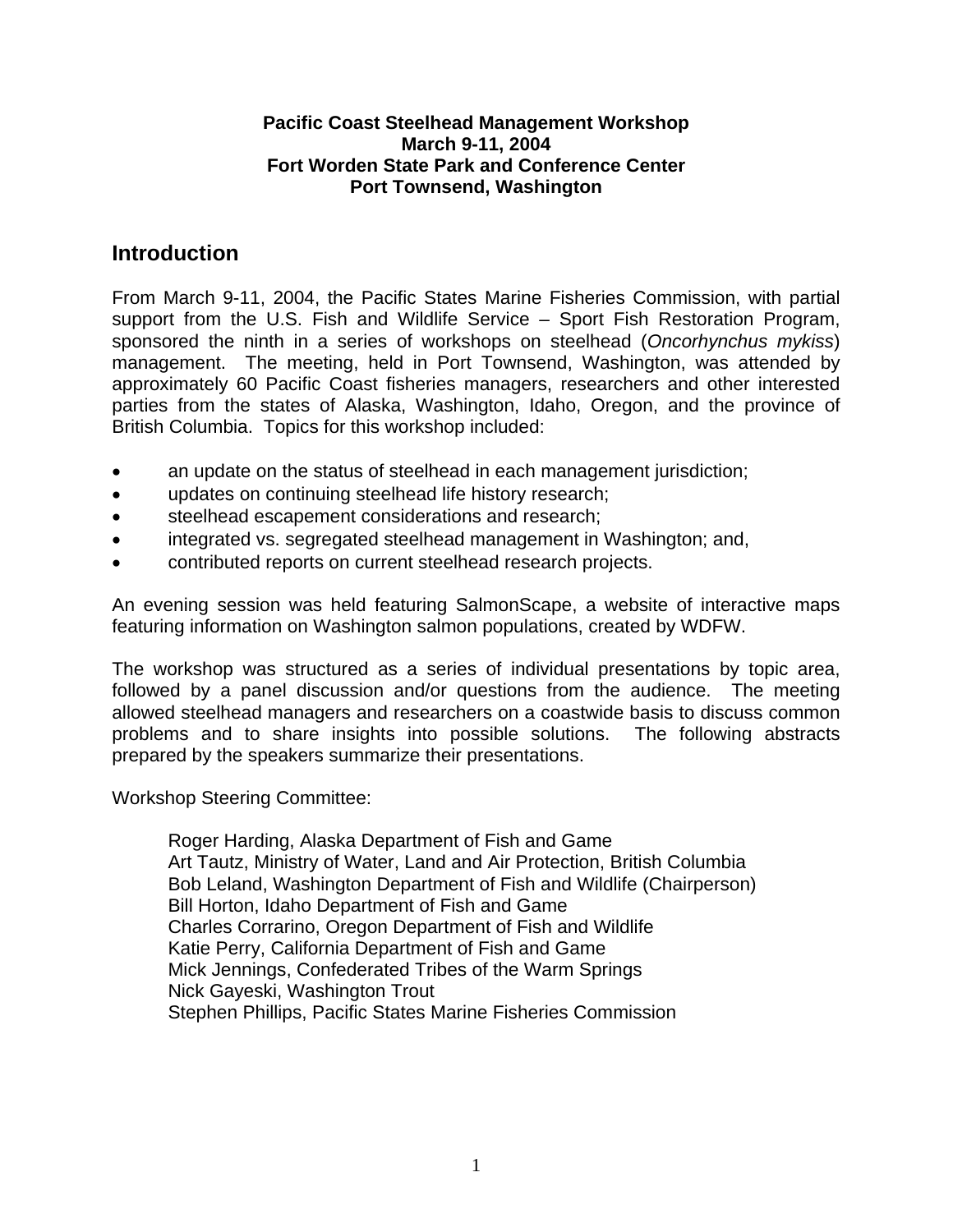#### **Pacific Coast Steelhead Management Workshop March 9-11, 2004 Fort Worden State Park and Conference Center Port Townsend, Washington**

# <span id="page-3-0"></span>**Introduction**

From March 9-11, 2004, the Pacific States Marine Fisheries Commission, with partial support from the U.S. Fish and Wildlife Service – Sport Fish Restoration Program, sponsored the ninth in a series of workshops on steelhead (*Oncorhynchus mykiss*) management. The meeting, held in Port Townsend, Washington, was attended by approximately 60 Pacific Coast fisheries managers, researchers and other interested parties from the states of Alaska, Washington, Idaho, Oregon, and the province of British Columbia. Topics for this workshop included:

- an update on the status of steelhead in each management jurisdiction;
- updates on continuing steelhead life history research;
- steelhead escapement considerations and research;
- integrated vs. segregated steelhead management in Washington; and,
- contributed reports on current steelhead research projects.

An evening session was held featuring SalmonScape, a website of interactive maps featuring information on Washington salmon populations, created by WDFW.

The workshop was structured as a series of individual presentations by topic area, followed by a panel discussion and/or questions from the audience. The meeting allowed steelhead managers and researchers on a coastwide basis to discuss common problems and to share insights into possible solutions. The following abstracts prepared by the speakers summarize their presentations.

Workshop Steering Committee:

Roger Harding, Alaska Department of Fish and Game Art Tautz, Ministry of Water, Land and Air Protection, British Columbia Bob Leland, Washington Department of Fish and Wildlife (Chairperson) Bill Horton, Idaho Department of Fish and Game Charles Corrarino, Oregon Department of Fish and Wildlife Katie Perry, California Department of Fish and Game Mick Jennings, Confederated Tribes of the Warm Springs Nick Gayeski, Washington Trout Stephen Phillips, Pacific States Marine Fisheries Commission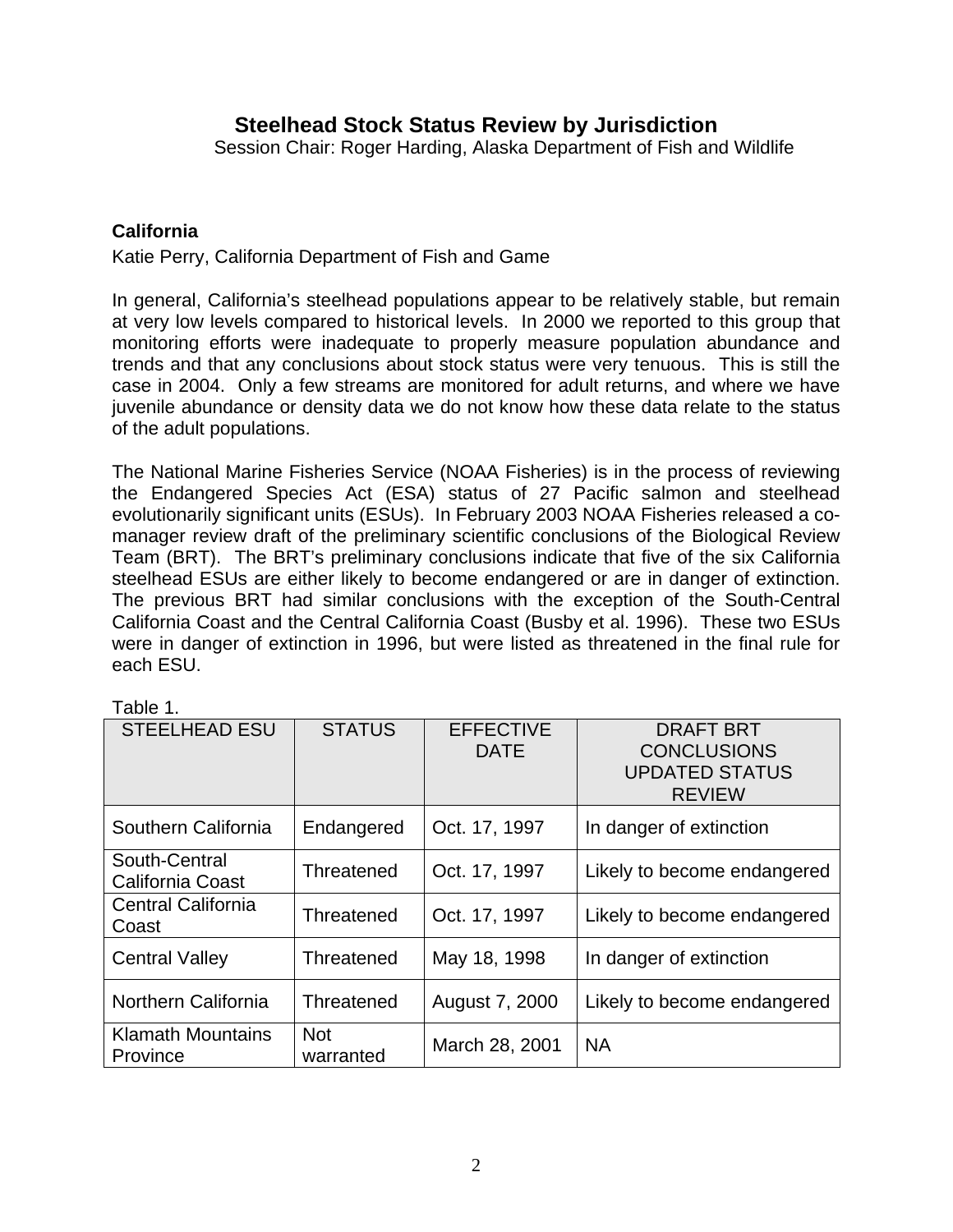# **Steelhead Stock Status Review by Jurisdiction**

Session Chair: Roger Harding, Alaska Department of Fish and Wildlife

#### <span id="page-4-0"></span>**California**

Katie Perry, California Department of Fish and Game

In general, California's steelhead populations appear to be relatively stable, but remain at very low levels compared to historical levels. In 2000 we reported to this group that monitoring efforts were inadequate to properly measure population abundance and trends and that any conclusions about stock status were very tenuous. This is still the case in 2004. Only a few streams are monitored for adult returns, and where we have juvenile abundance or density data we do not know how these data relate to the status of the adult populations.

The National Marine Fisheries Service (NOAA Fisheries) is in the process of reviewing the Endangered Species Act (ESA) status of 27 Pacific salmon and steelhead evolutionarily significant units (ESUs). In February 2003 NOAA Fisheries released a comanager review draft of the preliminary scientific conclusions of the Biological Review Team (BRT). The BRT's preliminary conclusions indicate that five of the six California steelhead ESUs are either likely to become endangered or are in danger of extinction. The previous BRT had similar conclusions with the exception of the South-Central California Coast and the Central California Coast (Busby et al. 1996). These two ESUs were in danger of extinction in 1996, but were listed as threatened in the final rule for each ESU.

| <b>STEELHEAD ESU</b>                     | <b>STATUS</b>           | <b>EFFECTIVE</b><br><b>DATE</b> | <b>DRAFT BRT</b><br><b>CONCLUSIONS</b><br><b>UPDATED STATUS</b><br><b>REVIEW</b> |
|------------------------------------------|-------------------------|---------------------------------|----------------------------------------------------------------------------------|
| Southern California                      | Endangered              | Oct. 17, 1997                   | In danger of extinction                                                          |
| South-Central<br><b>California Coast</b> | Threatened              | Oct. 17, 1997                   | Likely to become endangered                                                      |
| <b>Central California</b><br>Coast       | Threatened              | Oct. 17, 1997                   | Likely to become endangered                                                      |
| <b>Central Valley</b>                    | Threatened              | May 18, 1998                    | In danger of extinction                                                          |
| Northern California                      | Threatened              | August 7, 2000                  | Likely to become endangered                                                      |
| <b>Klamath Mountains</b><br>Province     | <b>Not</b><br>warranted | March 28, 2001                  | <b>NA</b>                                                                        |

Table 1.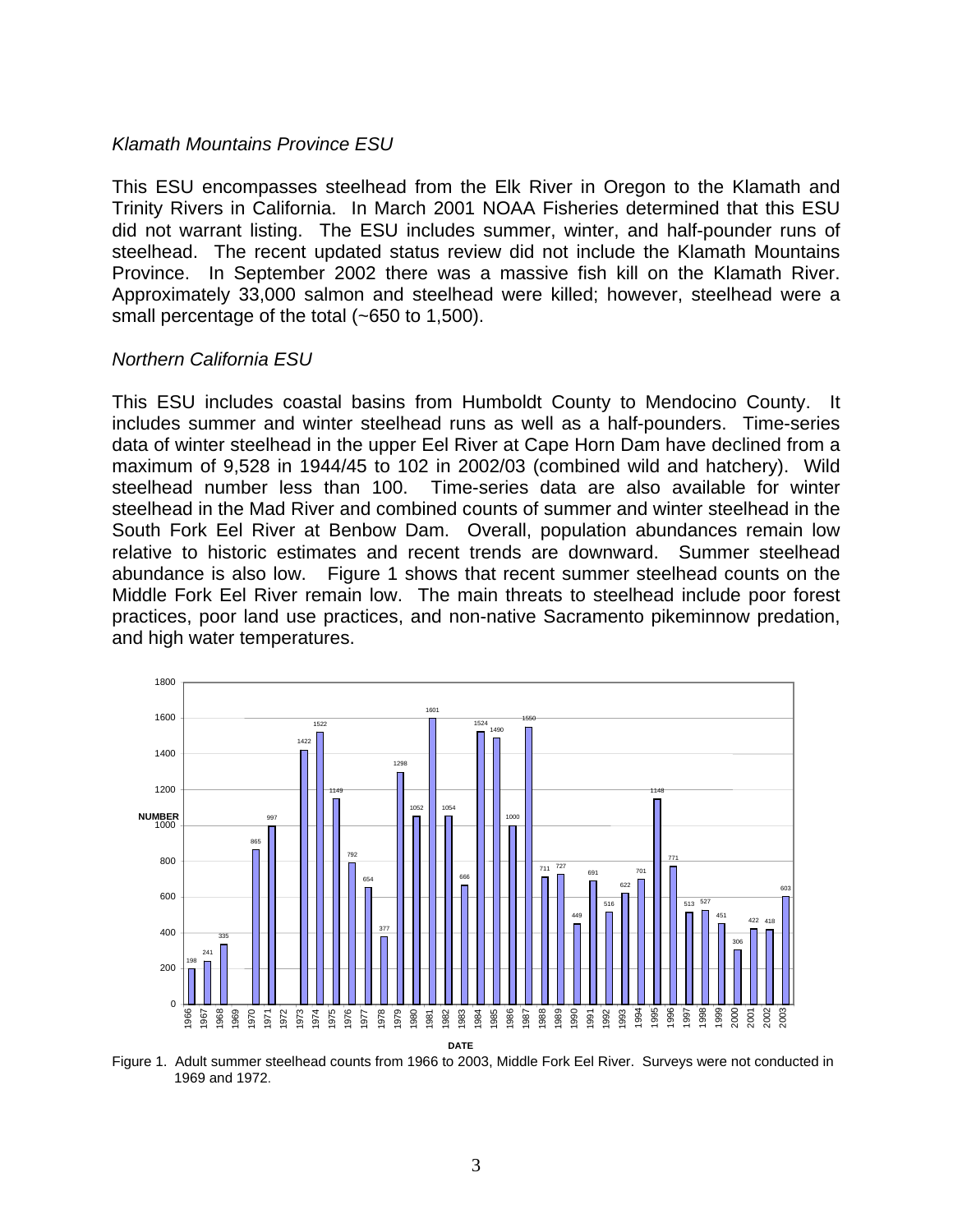#### *Klamath Mountains Province ESU*

This ESU encompasses steelhead from the Elk River in Oregon to the Klamath and Trinity Rivers in California. In March 2001 NOAA Fisheries determined that this ESU did not warrant listing. The ESU includes summer, winter, and half-pounder runs of steelhead. The recent updated status review did not include the Klamath Mountains Province. In September 2002 there was a massive fish kill on the Klamath River. Approximately 33,000 salmon and steelhead were killed; however, steelhead were a small percentage of the total (~650 to 1,500).

#### *Northern California ESU*

This ESU includes coastal basins from Humboldt County to Mendocino County. It includes summer and winter steelhead runs as well as a half-pounders. Time-series data of winter steelhead in the upper Eel River at Cape Horn Dam have declined from a maximum of 9,528 in 1944/45 to 102 in 2002/03 (combined wild and hatchery). Wild steelhead number less than 100. Time-series data are also available for winter steelhead in the Mad River and combined counts of summer and winter steelhead in the South Fork Eel River at Benbow Dam. Overall, population abundances remain low relative to historic estimates and recent trends are downward. Summer steelhead abundance is also low. Figure 1 shows that recent summer steelhead counts on the Middle Fork Eel River remain low. The main threats to steelhead include poor forest practices, poor land use practices, and non-native Sacramento pikeminnow predation, and high water temperatures.



Figure 1. Adult summer steelhead counts from 1966 to 2003, Middle Fork Eel River. Surveys were not conducted in 1969 and 1972.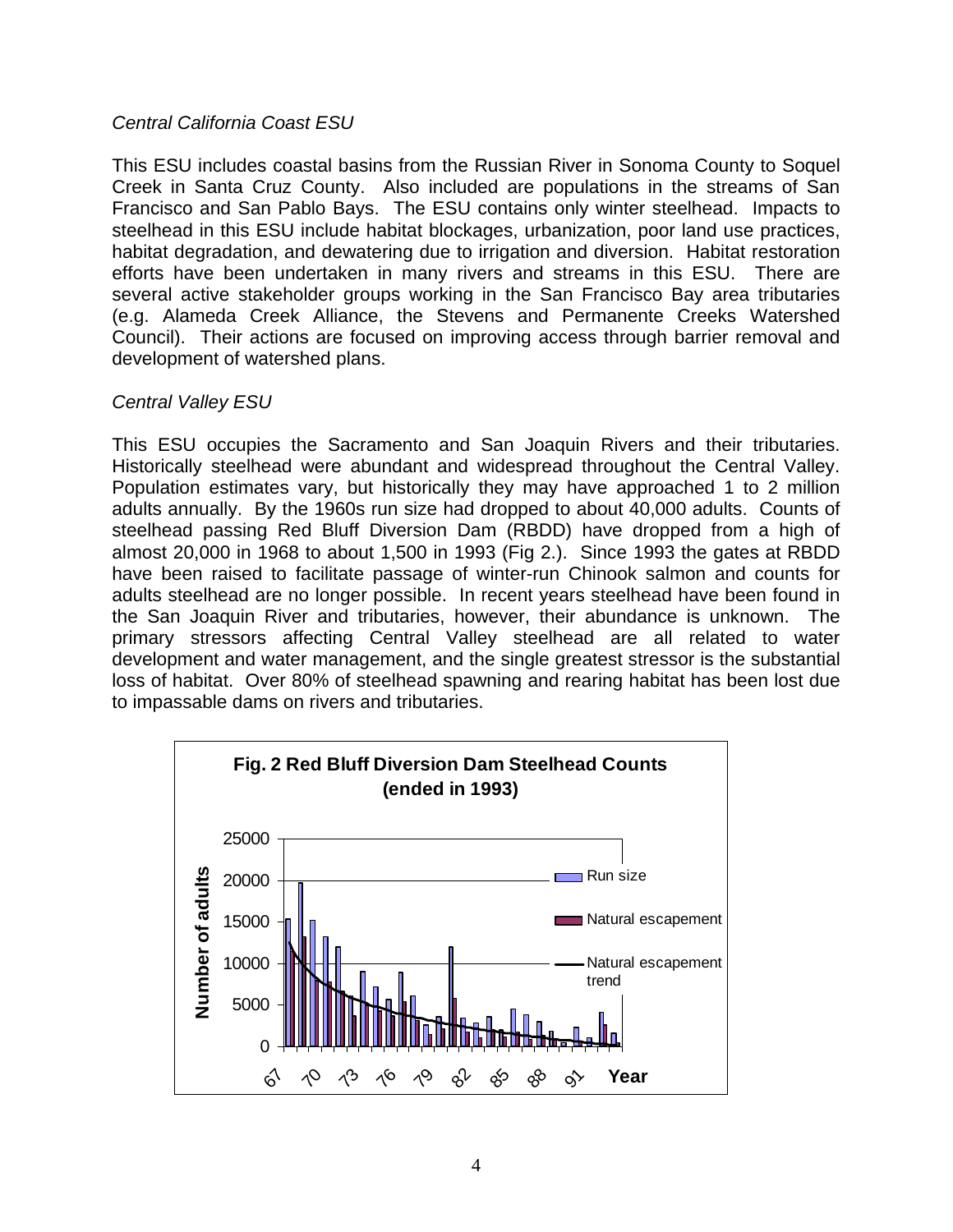#### *Central California Coast ESU*

This ESU includes coastal basins from the Russian River in Sonoma County to Soquel Creek in Santa Cruz County. Also included are populations in the streams of San Francisco and San Pablo Bays. The ESU contains only winter steelhead. Impacts to steelhead in this ESU include habitat blockages, urbanization, poor land use practices, habitat degradation, and dewatering due to irrigation and diversion. Habitat restoration efforts have been undertaken in many rivers and streams in this ESU. There are several active stakeholder groups working in the San Francisco Bay area tributaries (e.g. Alameda Creek Alliance, the Stevens and Permanente Creeks Watershed Council). Their actions are focused on improving access through barrier removal and development of watershed plans.

#### *Central Valley ESU*

This ESU occupies the Sacramento and San Joaquin Rivers and their tributaries. Historically steelhead were abundant and widespread throughout the Central Valley. Population estimates vary, but historically they may have approached 1 to 2 million adults annually. By the 1960s run size had dropped to about 40,000 adults. Counts of steelhead passing Red Bluff Diversion Dam (RBDD) have dropped from a high of almost 20,000 in 1968 to about 1,500 in 1993 (Fig 2.). Since 1993 the gates at RBDD have been raised to facilitate passage of winter-run Chinook salmon and counts for adults steelhead are no longer possible. In recent years steelhead have been found in the San Joaquin River and tributaries, however, their abundance is unknown. The primary stressors affecting Central Valley steelhead are all related to water development and water management, and the single greatest stressor is the substantial loss of habitat. Over 80% of steelhead spawning and rearing habitat has been lost due to impassable dams on rivers and tributaries.

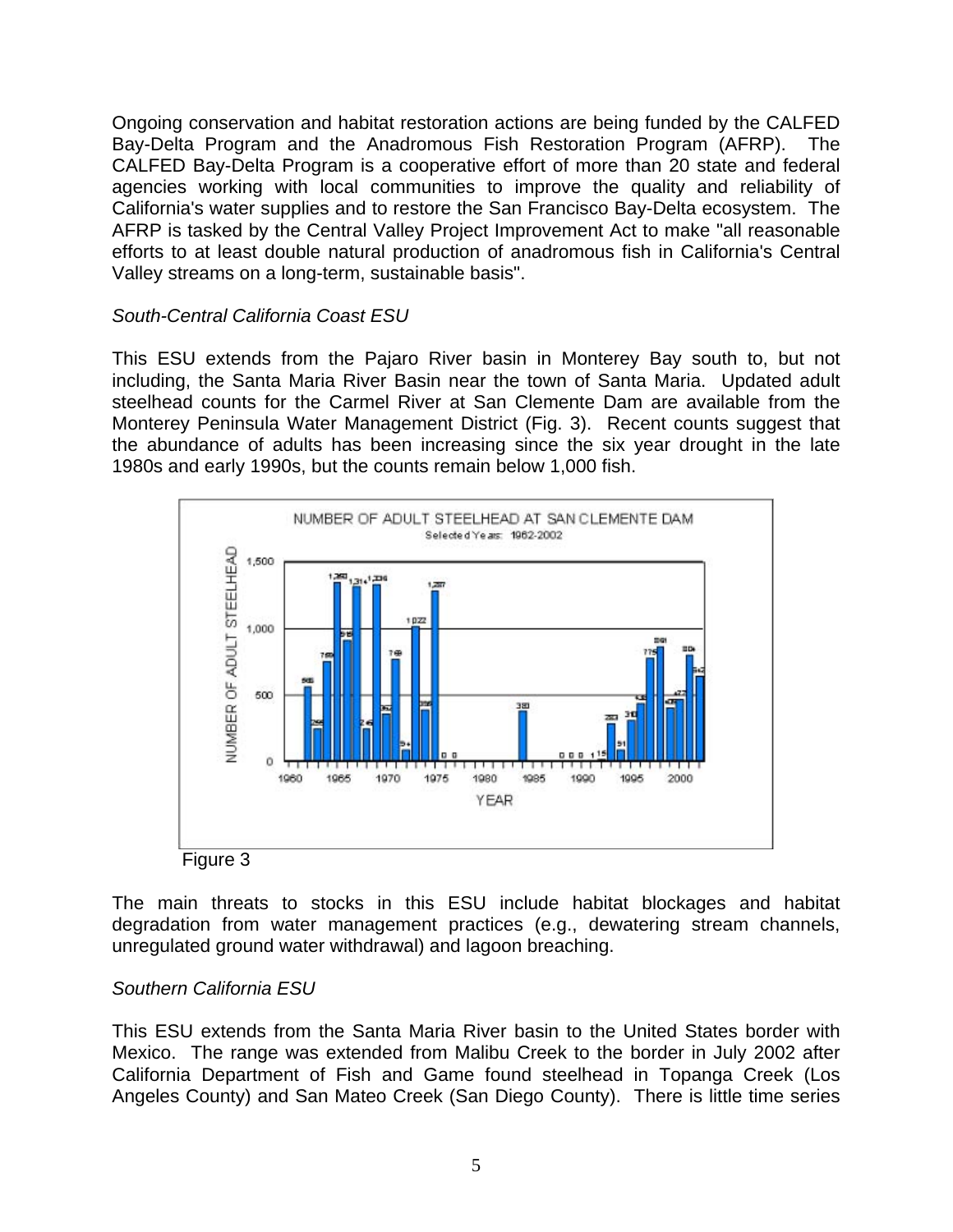Ongoing conservation and habitat restoration actions are being funded by the CALFED Bay-Delta Program and the Anadromous Fish Restoration Program (AFRP). The CALFED Bay-Delta Program is a cooperative effort of more than 20 state and federal agencies working with local communities to improve the quality and reliability of California's water supplies and to restore the San Francisco Bay-Delta ecosystem. The AFRP is tasked by the Central Valley Project Improvement Act to make "all reasonable efforts to at least double natural production of anadromous fish in California's Central Valley streams on a long-term, sustainable basis".

#### *South-Central California Coast ESU*

This ESU extends from the Pajaro River basin in Monterey Bay south to, but not including, the Santa Maria River Basin near the town of Santa Maria. Updated adult steelhead counts for the Carmel River at San Clemente Dam are available from the Monterey Peninsula Water Management District (Fig. 3). Recent counts suggest that the abundance of adults has been increasing since the six year drought in the late 1980s and early 1990s, but the counts remain below 1,000 fish.





The main threats to stocks in this ESU include habitat blockages and habitat degradation from water management practices (e.g., dewatering stream channels, unregulated ground water withdrawal) and lagoon breaching.

#### *Southern California ESU*

This ESU extends from the Santa Maria River basin to the United States border with Mexico. The range was extended from Malibu Creek to the border in July 2002 after California Department of Fish and Game found steelhead in Topanga Creek (Los Angeles County) and San Mateo Creek (San Diego County). There is little time series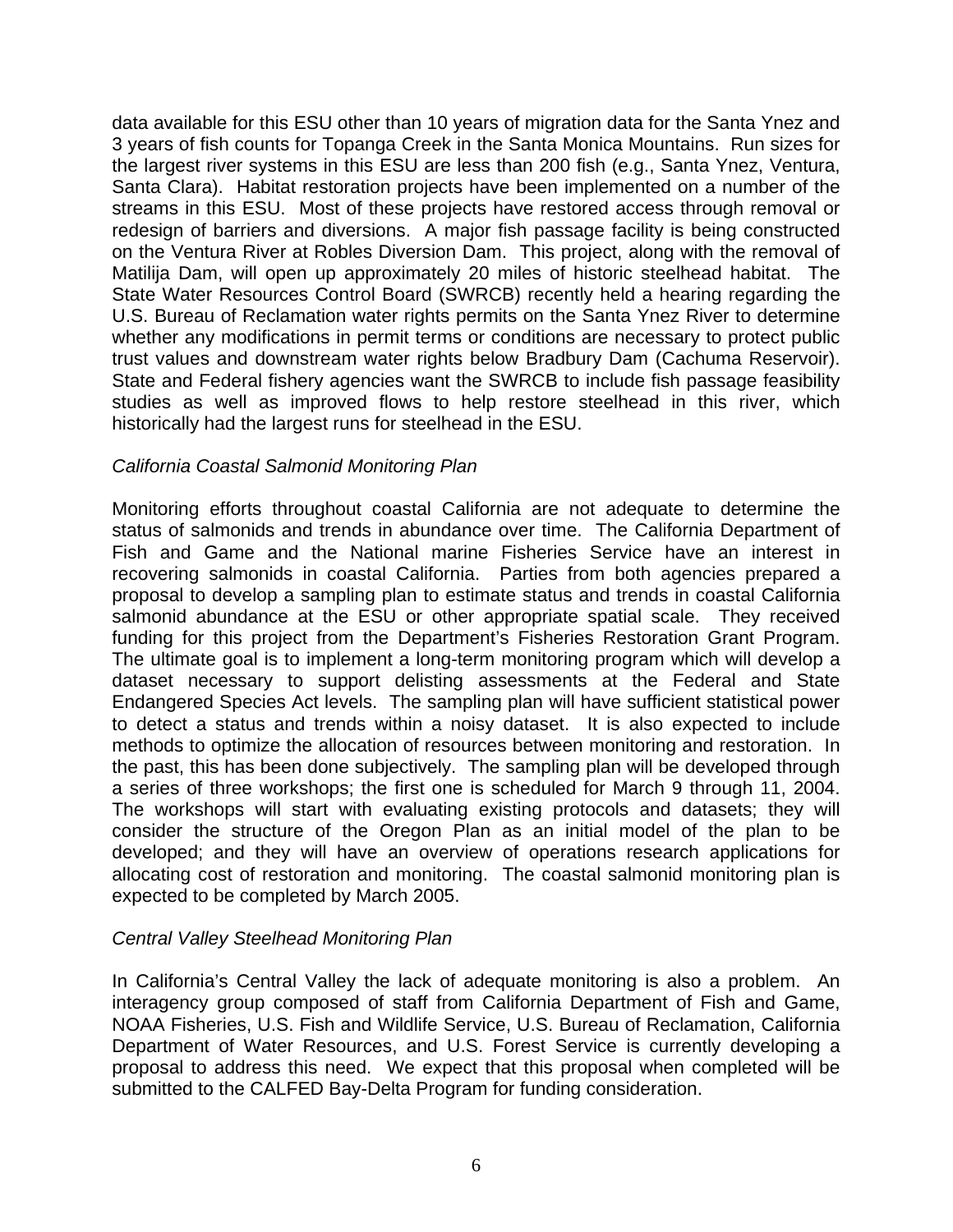data available for this ESU other than 10 years of migration data for the Santa Ynez and 3 years of fish counts for Topanga Creek in the Santa Monica Mountains. Run sizes for the largest river systems in this ESU are less than 200 fish (e.g., Santa Ynez, Ventura, Santa Clara). Habitat restoration projects have been implemented on a number of the streams in this ESU. Most of these projects have restored access through removal or redesign of barriers and diversions. A major fish passage facility is being constructed on the Ventura River at Robles Diversion Dam. This project, along with the removal of Matilija Dam, will open up approximately 20 miles of historic steelhead habitat. The State Water Resources Control Board (SWRCB) recently held a hearing regarding the U.S. Bureau of Reclamation water rights permits on the Santa Ynez River to determine whether any modifications in permit terms or conditions are necessary to protect public trust values and downstream water rights below Bradbury Dam (Cachuma Reservoir). State and Federal fishery agencies want the SWRCB to include fish passage feasibility studies as well as improved flows to help restore steelhead in this river, which historically had the largest runs for steelhead in the ESU.

#### *California Coastal Salmonid Monitoring Plan*

Monitoring efforts throughout coastal California are not adequate to determine the status of salmonids and trends in abundance over time. The California Department of Fish and Game and the National marine Fisheries Service have an interest in recovering salmonids in coastal California. Parties from both agencies prepared a proposal to develop a sampling plan to estimate status and trends in coastal California salmonid abundance at the ESU or other appropriate spatial scale. They received funding for this project from the Department's Fisheries Restoration Grant Program. The ultimate goal is to implement a long-term monitoring program which will develop a dataset necessary to support delisting assessments at the Federal and State Endangered Species Act levels. The sampling plan will have sufficient statistical power to detect a status and trends within a noisy dataset. It is also expected to include methods to optimize the allocation of resources between monitoring and restoration. In the past, this has been done subjectively. The sampling plan will be developed through a series of three workshops; the first one is scheduled for March 9 through 11, 2004. The workshops will start with evaluating existing protocols and datasets; they will consider the structure of the Oregon Plan as an initial model of the plan to be developed; and they will have an overview of operations research applications for allocating cost of restoration and monitoring. The coastal salmonid monitoring plan is expected to be completed by March 2005.

#### *Central Valley Steelhead Monitoring Plan*

In California's Central Valley the lack of adequate monitoring is also a problem. An interagency group composed of staff from California Department of Fish and Game, NOAA Fisheries, U.S. Fish and Wildlife Service, U.S. Bureau of Reclamation, California Department of Water Resources, and U.S. Forest Service is currently developing a proposal to address this need. We expect that this proposal when completed will be submitted to the CALFED Bay-Delta Program for funding consideration.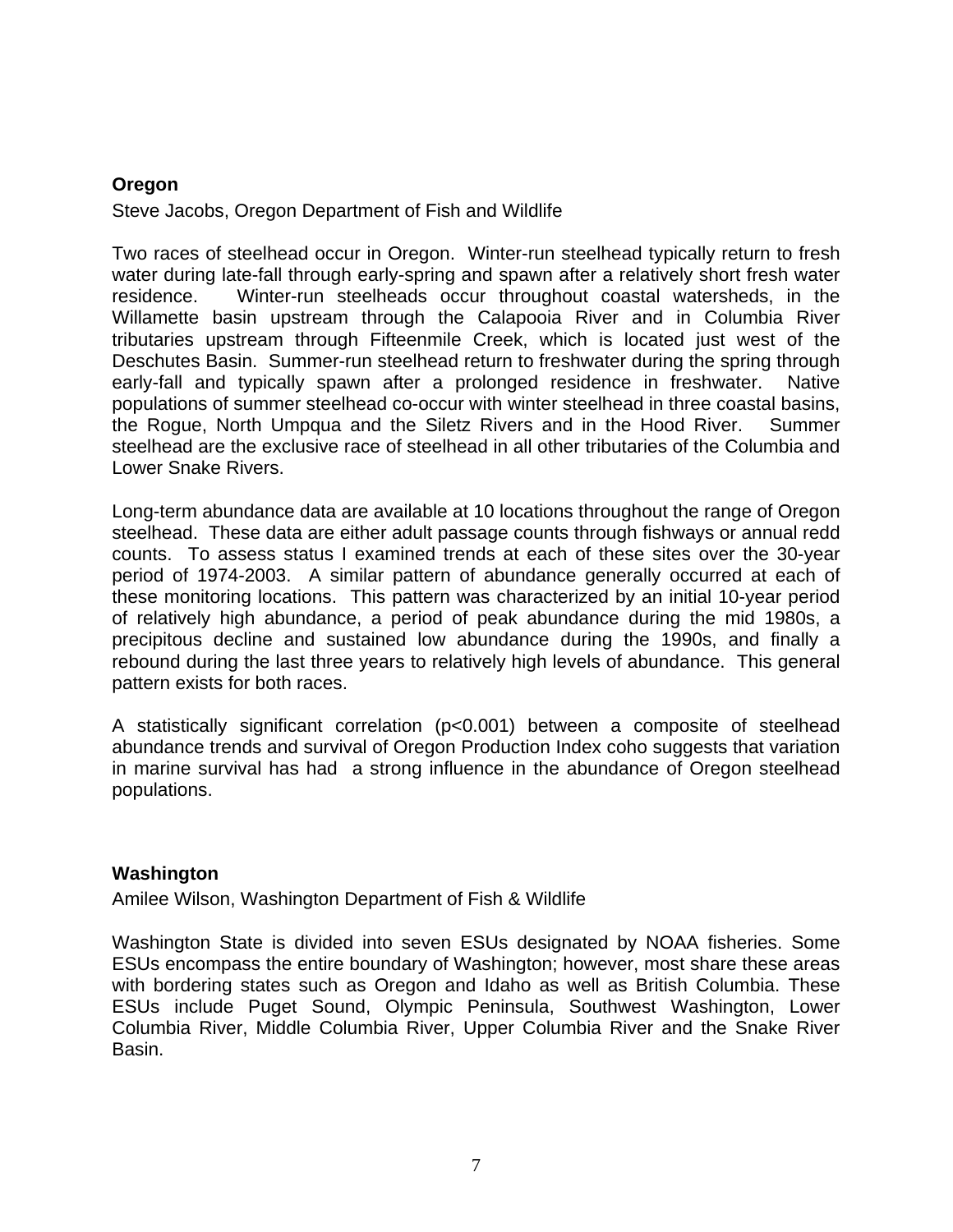#### <span id="page-9-0"></span>**Oregon**

Steve Jacobs, Oregon Department of Fish and Wildlife

Two races of steelhead occur in Oregon. Winter-run steelhead typically return to fresh water during late-fall through early-spring and spawn after a relatively short fresh water residence. Winter-run steelheads occur throughout coastal watersheds, in the Willamette basin upstream through the Calapooia River and in Columbia River tributaries upstream through Fifteenmile Creek, which is located just west of the Deschutes Basin. Summer-run steelhead return to freshwater during the spring through early-fall and typically spawn after a prolonged residence in freshwater. Native populations of summer steelhead co-occur with winter steelhead in three coastal basins, the Rogue, North Umpqua and the Siletz Rivers and in the Hood River. Summer steelhead are the exclusive race of steelhead in all other tributaries of the Columbia and Lower Snake Rivers.

Long-term abundance data are available at 10 locations throughout the range of Oregon steelhead. These data are either adult passage counts through fishways or annual redd counts. To assess status I examined trends at each of these sites over the 30-year period of 1974-2003. A similar pattern of abundance generally occurred at each of these monitoring locations. This pattern was characterized by an initial 10-year period of relatively high abundance, a period of peak abundance during the mid 1980s, a precipitous decline and sustained low abundance during the 1990s, and finally a rebound during the last three years to relatively high levels of abundance. This general pattern exists for both races.

A statistically significant correlation (p<0.001) between a composite of steelhead abundance trends and survival of Oregon Production Index coho suggests that variation in marine survival has had a strong influence in the abundance of Oregon steelhead populations.

#### **Washington**

Amilee Wilson, Washington Department of Fish & Wildlife

Washington State is divided into seven ESUs designated by NOAA fisheries. Some ESUs encompass the entire boundary of Washington; however, most share these areas with bordering states such as Oregon and Idaho as well as British Columbia. These ESUs include Puget Sound, Olympic Peninsula, Southwest Washington, Lower Columbia River, Middle Columbia River, Upper Columbia River and the Snake River Basin.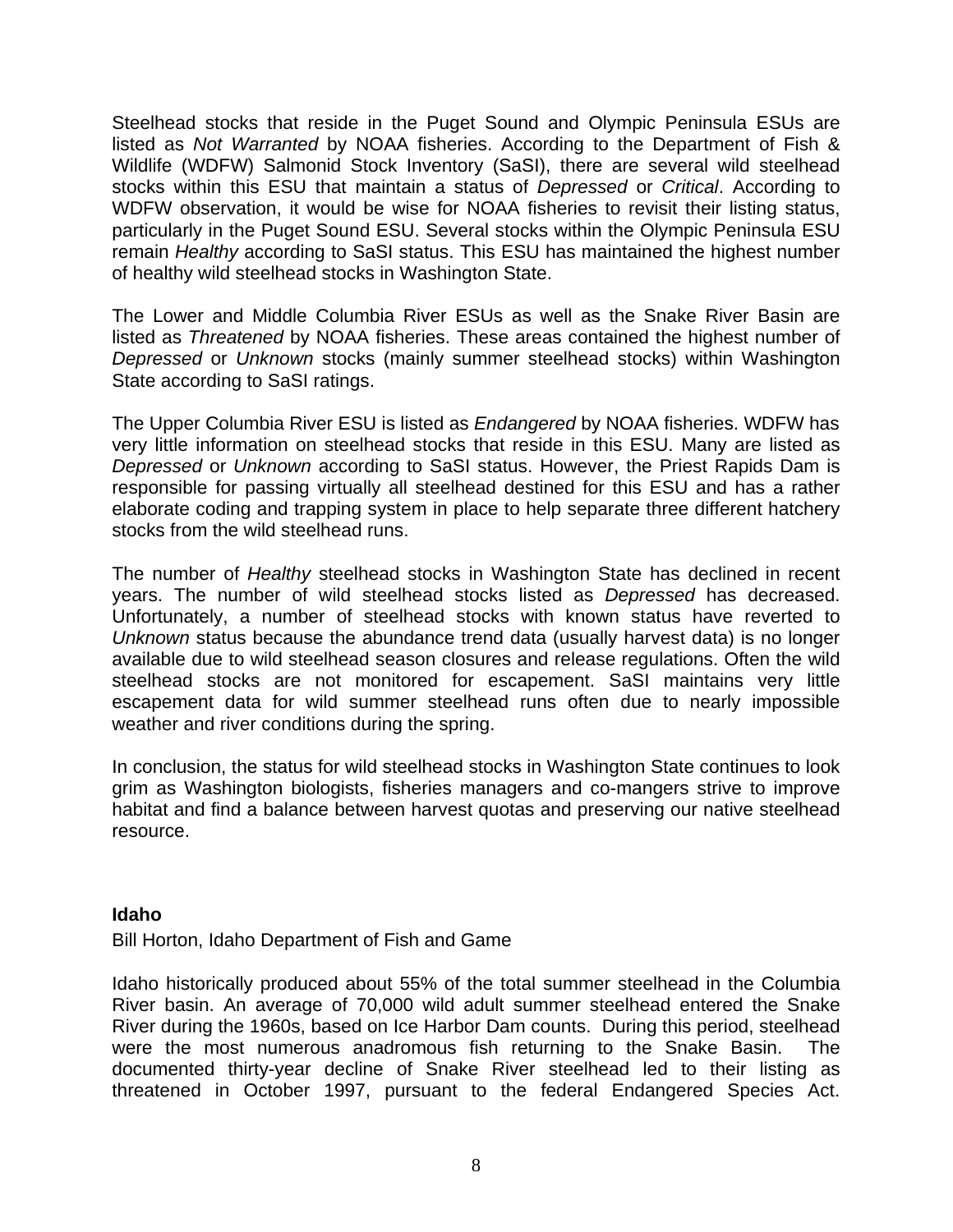<span id="page-10-0"></span>Steelhead stocks that reside in the Puget Sound and Olympic Peninsula ESUs are listed as *Not Warranted* by NOAA fisheries. According to the Department of Fish & Wildlife (WDFW) Salmonid Stock Inventory (SaSI), there are several wild steelhead stocks within this ESU that maintain a status of *Depressed* or *Critical*. According to WDFW observation, it would be wise for NOAA fisheries to revisit their listing status, particularly in the Puget Sound ESU. Several stocks within the Olympic Peninsula ESU remain *Healthy* according to SaSI status. This ESU has maintained the highest number of healthy wild steelhead stocks in Washington State.

The Lower and Middle Columbia River ESUs as well as the Snake River Basin are listed as *Threatened* by NOAA fisheries. These areas contained the highest number of *Depressed* or *Unknown* stocks (mainly summer steelhead stocks) within Washington State according to SaSI ratings.

The Upper Columbia River ESU is listed as *Endangered* by NOAA fisheries. WDFW has very little information on steelhead stocks that reside in this ESU. Many are listed as *Depressed* or *Unknown* according to SaSI status. However, the Priest Rapids Dam is responsible for passing virtually all steelhead destined for this ESU and has a rather elaborate coding and trapping system in place to help separate three different hatchery stocks from the wild steelhead runs.

The number of *Healthy* steelhead stocks in Washington State has declined in recent years. The number of wild steelhead stocks listed as *Depressed* has decreased. Unfortunately, a number of steelhead stocks with known status have reverted to *Unknown* status because the abundance trend data (usually harvest data) is no longer available due to wild steelhead season closures and release regulations. Often the wild steelhead stocks are not monitored for escapement. SaSI maintains very little escapement data for wild summer steelhead runs often due to nearly impossible weather and river conditions during the spring.

In conclusion, the status for wild steelhead stocks in Washington State continues to look grim as Washington biologists, fisheries managers and co-mangers strive to improve habitat and find a balance between harvest quotas and preserving our native steelhead resource.

#### **Idaho**

Bill Horton, Idaho Department of Fish and Game

Idaho historically produced about 55% of the total summer steelhead in the Columbia River basin. An average of 70,000 wild adult summer steelhead entered the Snake River during the 1960s, based on Ice Harbor Dam counts. During this period, steelhead were the most numerous anadromous fish returning to the Snake Basin. The documented thirty-year decline of Snake River steelhead led to their listing as threatened in October 1997, pursuant to the federal Endangered Species Act.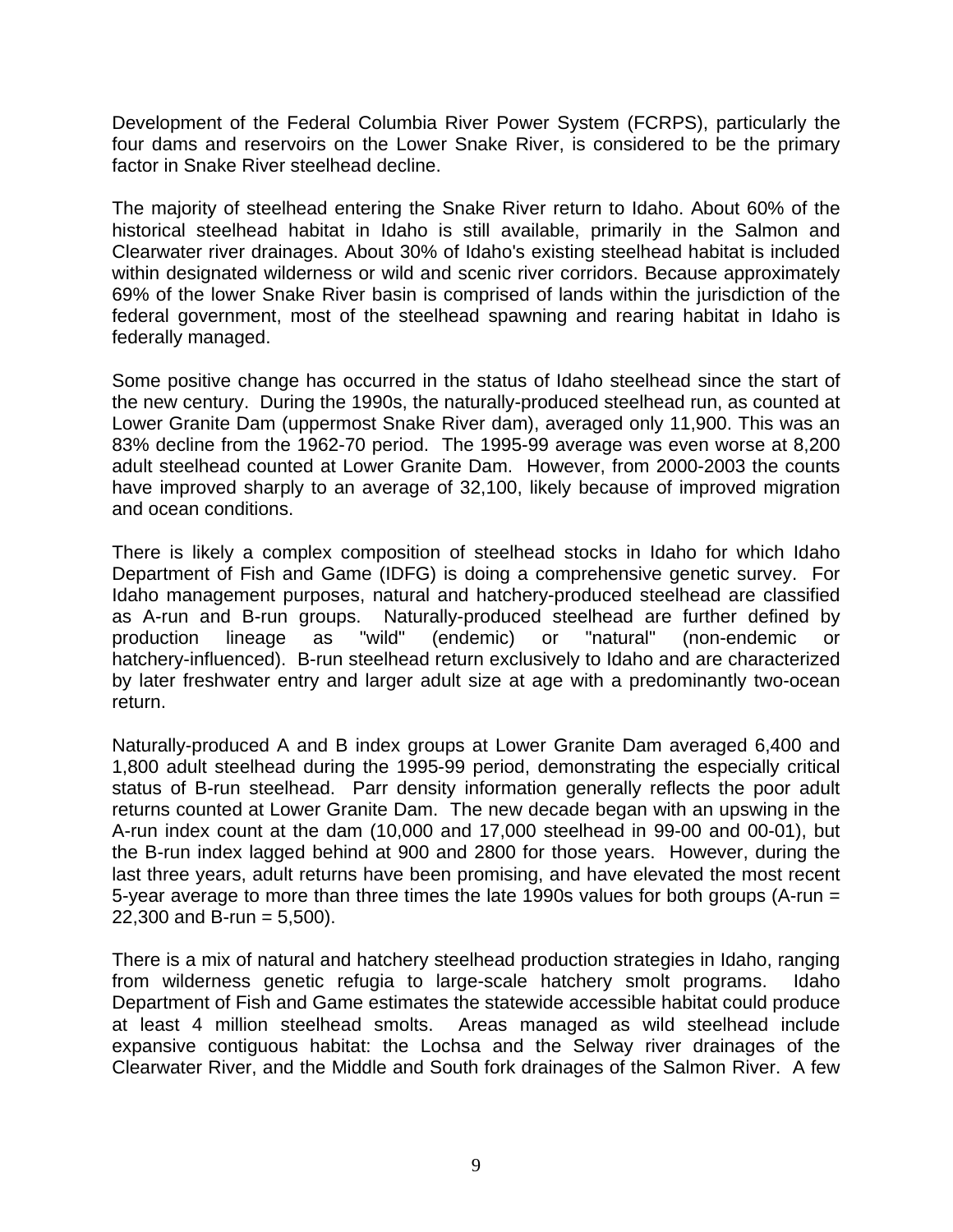Development of the Federal Columbia River Power System (FCRPS), particularly the four dams and reservoirs on the Lower Snake River, is considered to be the primary factor in Snake River steelhead decline.

The majority of steelhead entering the Snake River return to Idaho. About 60% of the historical steelhead habitat in Idaho is still available, primarily in the Salmon and Clearwater river drainages. About 30% of Idaho's existing steelhead habitat is included within designated wilderness or wild and scenic river corridors. Because approximately 69% of the lower Snake River basin is comprised of lands within the jurisdiction of the federal government, most of the steelhead spawning and rearing habitat in Idaho is federally managed.

Some positive change has occurred in the status of Idaho steelhead since the start of the new century. During the 1990s, the naturally-produced steelhead run, as counted at Lower Granite Dam (uppermost Snake River dam), averaged only 11,900. This was an 83% decline from the 1962-70 period. The 1995-99 average was even worse at 8,200 adult steelhead counted at Lower Granite Dam. However, from 2000-2003 the counts have improved sharply to an average of 32,100, likely because of improved migration and ocean conditions.

There is likely a complex composition of steelhead stocks in Idaho for which Idaho Department of Fish and Game (IDFG) is doing a comprehensive genetic survey. For Idaho management purposes, natural and hatchery-produced steelhead are classified as A-run and B-run groups. Naturally-produced steelhead are further defined by production lineage as "wild" (endemic) or "natural" (non-endemic or hatchery-influenced). B-run steelhead return exclusively to Idaho and are characterized by later freshwater entry and larger adult size at age with a predominantly two-ocean return.

Naturally-produced A and B index groups at Lower Granite Dam averaged 6,400 and 1,800 adult steelhead during the 1995-99 period, demonstrating the especially critical status of B-run steelhead. Parr density information generally reflects the poor adult returns counted at Lower Granite Dam. The new decade began with an upswing in the A-run index count at the dam (10,000 and 17,000 steelhead in 99-00 and 00-01), but the B-run index lagged behind at 900 and 2800 for those years. However, during the last three years, adult returns have been promising, and have elevated the most recent 5-year average to more than three times the late 1990s values for both groups (A-run =  $22,300$  and B-run = 5,500).

There is a mix of natural and hatchery steelhead production strategies in Idaho, ranging from wilderness genetic refugia to large-scale hatchery smolt programs. Idaho Department of Fish and Game estimates the statewide accessible habitat could produce at least 4 million steelhead smolts. Areas managed as wild steelhead include expansive contiguous habitat: the Lochsa and the Selway river drainages of the Clearwater River, and the Middle and South fork drainages of the Salmon River. A few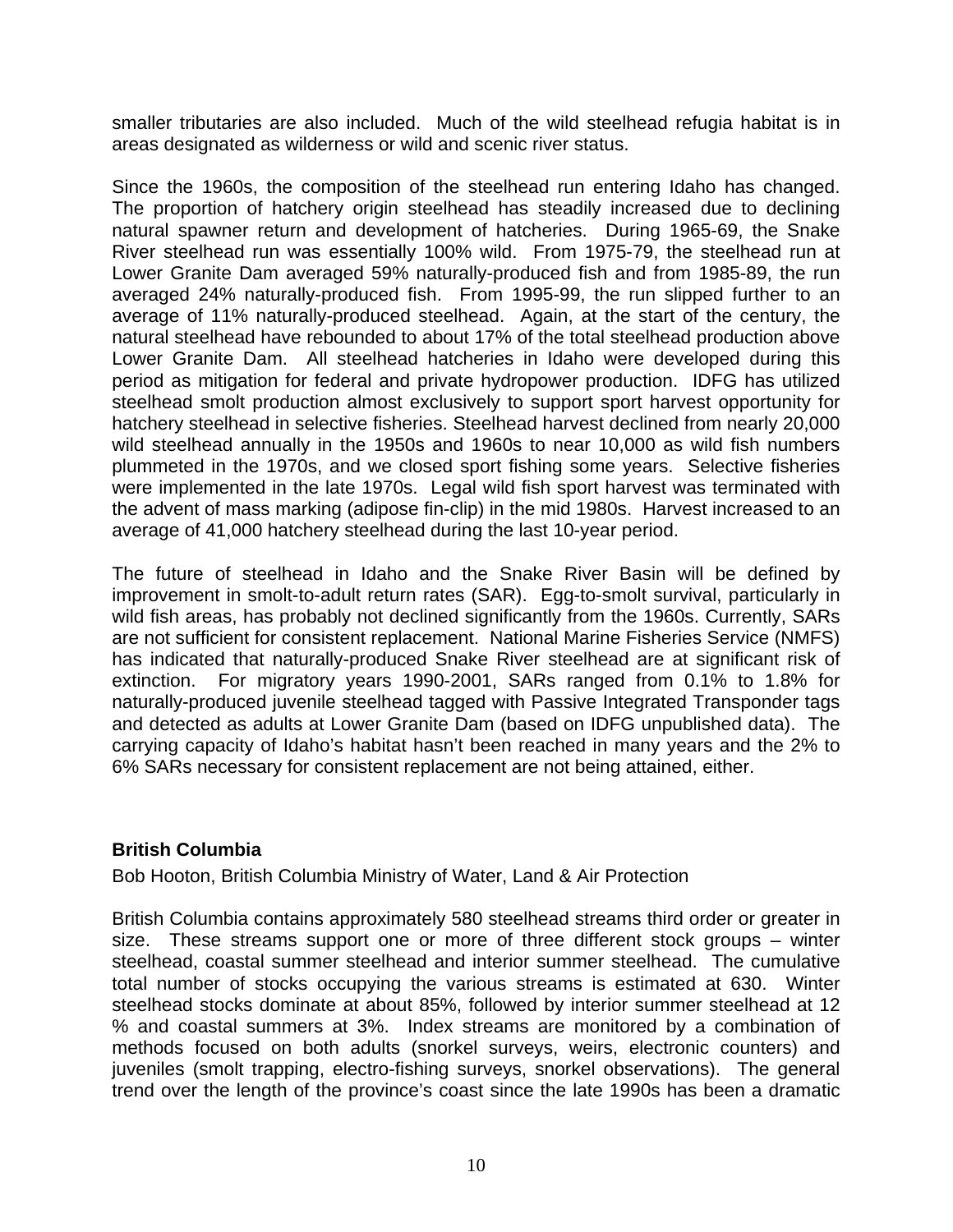<span id="page-12-0"></span>smaller tributaries are also included. Much of the wild steelhead refugia habitat is in areas designated as wilderness or wild and scenic river status.

Since the 1960s, the composition of the steelhead run entering Idaho has changed. The proportion of hatchery origin steelhead has steadily increased due to declining natural spawner return and development of hatcheries. During 1965-69, the Snake River steelhead run was essentially 100% wild. From 1975-79, the steelhead run at Lower Granite Dam averaged 59% naturally-produced fish and from 1985-89, the run averaged 24% naturally-produced fish. From 1995-99, the run slipped further to an average of 11% naturally-produced steelhead. Again, at the start of the century, the natural steelhead have rebounded to about 17% of the total steelhead production above Lower Granite Dam. All steelhead hatcheries in Idaho were developed during this period as mitigation for federal and private hydropower production. IDFG has utilized steelhead smolt production almost exclusively to support sport harvest opportunity for hatchery steelhead in selective fisheries. Steelhead harvest declined from nearly 20,000 wild steelhead annually in the 1950s and 1960s to near 10,000 as wild fish numbers plummeted in the 1970s, and we closed sport fishing some years. Selective fisheries were implemented in the late 1970s. Legal wild fish sport harvest was terminated with the advent of mass marking (adipose fin-clip) in the mid 1980s. Harvest increased to an average of 41,000 hatchery steelhead during the last 10-year period.

The future of steelhead in Idaho and the Snake River Basin will be defined by improvement in smolt-to-adult return rates (SAR). Egg-to-smolt survival, particularly in wild fish areas, has probably not declined significantly from the 1960s. Currently, SARs are not sufficient for consistent replacement. National Marine Fisheries Service (NMFS) has indicated that naturally-produced Snake River steelhead are at significant risk of extinction. For migratory years 1990-2001, SARs ranged from 0.1% to 1.8% for naturally-produced juvenile steelhead tagged with Passive Integrated Transponder tags and detected as adults at Lower Granite Dam (based on IDFG unpublished data). The carrying capacity of Idaho's habitat hasn't been reached in many years and the 2% to 6% SARs necessary for consistent replacement are not being attained, either.

#### **British Columbia**

Bob Hooton, British Columbia Ministry of Water, Land & Air Protection

British Columbia contains approximately 580 steelhead streams third order or greater in size. These streams support one or more of three different stock groups – winter steelhead, coastal summer steelhead and interior summer steelhead. The cumulative total number of stocks occupying the various streams is estimated at 630. Winter steelhead stocks dominate at about 85%, followed by interior summer steelhead at 12 % and coastal summers at 3%. Index streams are monitored by a combination of methods focused on both adults (snorkel surveys, weirs, electronic counters) and juveniles (smolt trapping, electro-fishing surveys, snorkel observations). The general trend over the length of the province's coast since the late 1990s has been a dramatic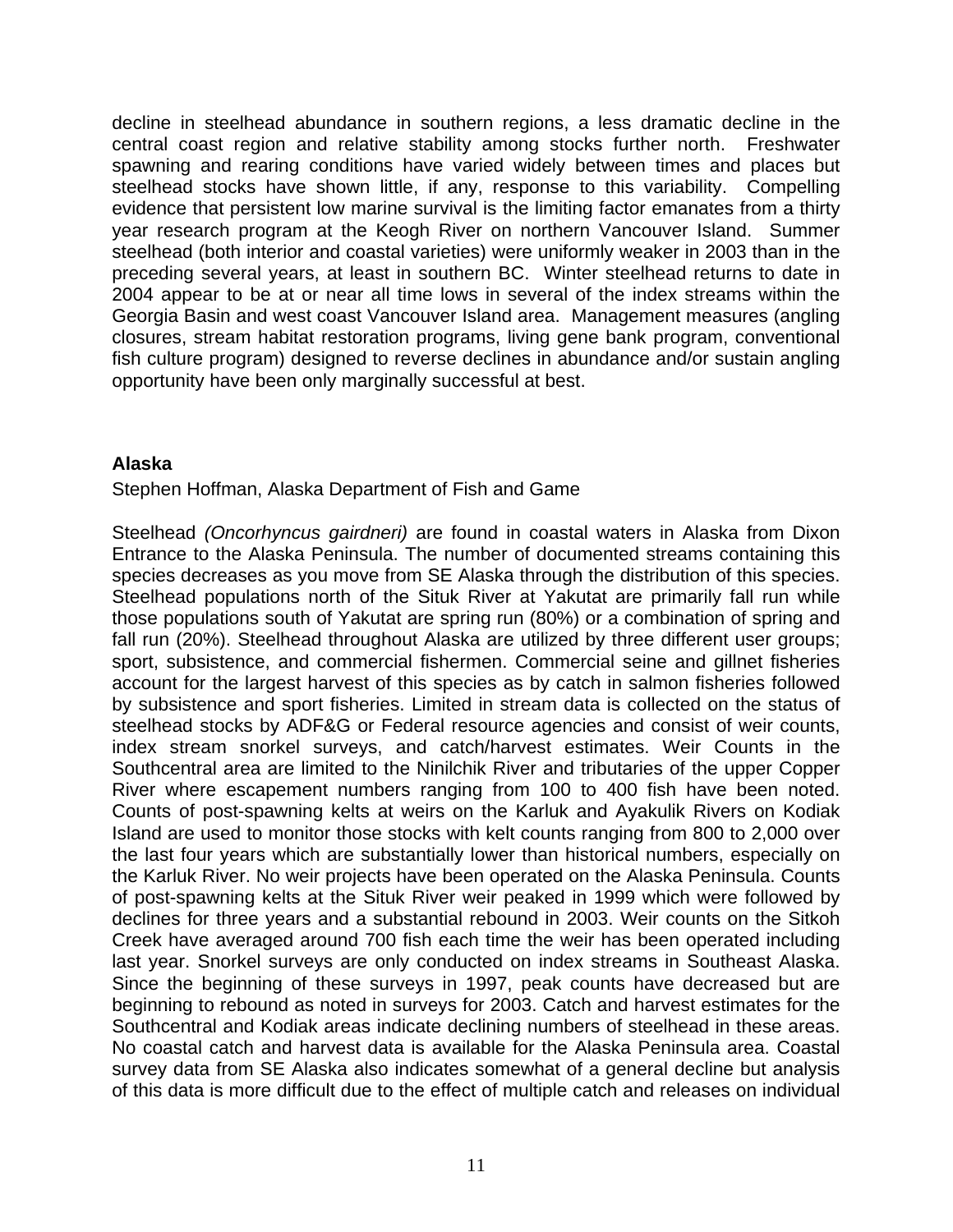<span id="page-13-0"></span>decline in steelhead abundance in southern regions, a less dramatic decline in the central coast region and relative stability among stocks further north. Freshwater spawning and rearing conditions have varied widely between times and places but steelhead stocks have shown little, if any, response to this variability. Compelling evidence that persistent low marine survival is the limiting factor emanates from a thirty year research program at the Keogh River on northern Vancouver Island. Summer steelhead (both interior and coastal varieties) were uniformly weaker in 2003 than in the preceding several years, at least in southern BC. Winter steelhead returns to date in 2004 appear to be at or near all time lows in several of the index streams within the Georgia Basin and west coast Vancouver Island area. Management measures (angling closures, stream habitat restoration programs, living gene bank program, conventional fish culture program) designed to reverse declines in abundance and/or sustain angling opportunity have been only marginally successful at best.

#### **Alaska**

Stephen Hoffman, Alaska Department of Fish and Game

Steelhead *(Oncorhyncus gairdneri)* are found in coastal waters in Alaska from Dixon Entrance to the Alaska Peninsula. The number of documented streams containing this species decreases as you move from SE Alaska through the distribution of this species. Steelhead populations north of the Situk River at Yakutat are primarily fall run while those populations south of Yakutat are spring run (80%) or a combination of spring and fall run (20%). Steelhead throughout Alaska are utilized by three different user groups; sport, subsistence, and commercial fishermen. Commercial seine and gillnet fisheries account for the largest harvest of this species as by catch in salmon fisheries followed by subsistence and sport fisheries. Limited in stream data is collected on the status of steelhead stocks by ADF&G or Federal resource agencies and consist of weir counts, index stream snorkel surveys, and catch/harvest estimates. Weir Counts in the Southcentral area are limited to the Ninilchik River and tributaries of the upper Copper River where escapement numbers ranging from 100 to 400 fish have been noted. Counts of post-spawning kelts at weirs on the Karluk and Ayakulik Rivers on Kodiak Island are used to monitor those stocks with kelt counts ranging from 800 to 2,000 over the last four years which are substantially lower than historical numbers, especially on the Karluk River. No weir projects have been operated on the Alaska Peninsula. Counts of post-spawning kelts at the Situk River weir peaked in 1999 which were followed by declines for three years and a substantial rebound in 2003. Weir counts on the Sitkoh Creek have averaged around 700 fish each time the weir has been operated including last year. Snorkel surveys are only conducted on index streams in Southeast Alaska. Since the beginning of these surveys in 1997, peak counts have decreased but are beginning to rebound as noted in surveys for 2003. Catch and harvest estimates for the Southcentral and Kodiak areas indicate declining numbers of steelhead in these areas. No coastal catch and harvest data is available for the Alaska Peninsula area. Coastal survey data from SE Alaska also indicates somewhat of a general decline but analysis of this data is more difficult due to the effect of multiple catch and releases on individual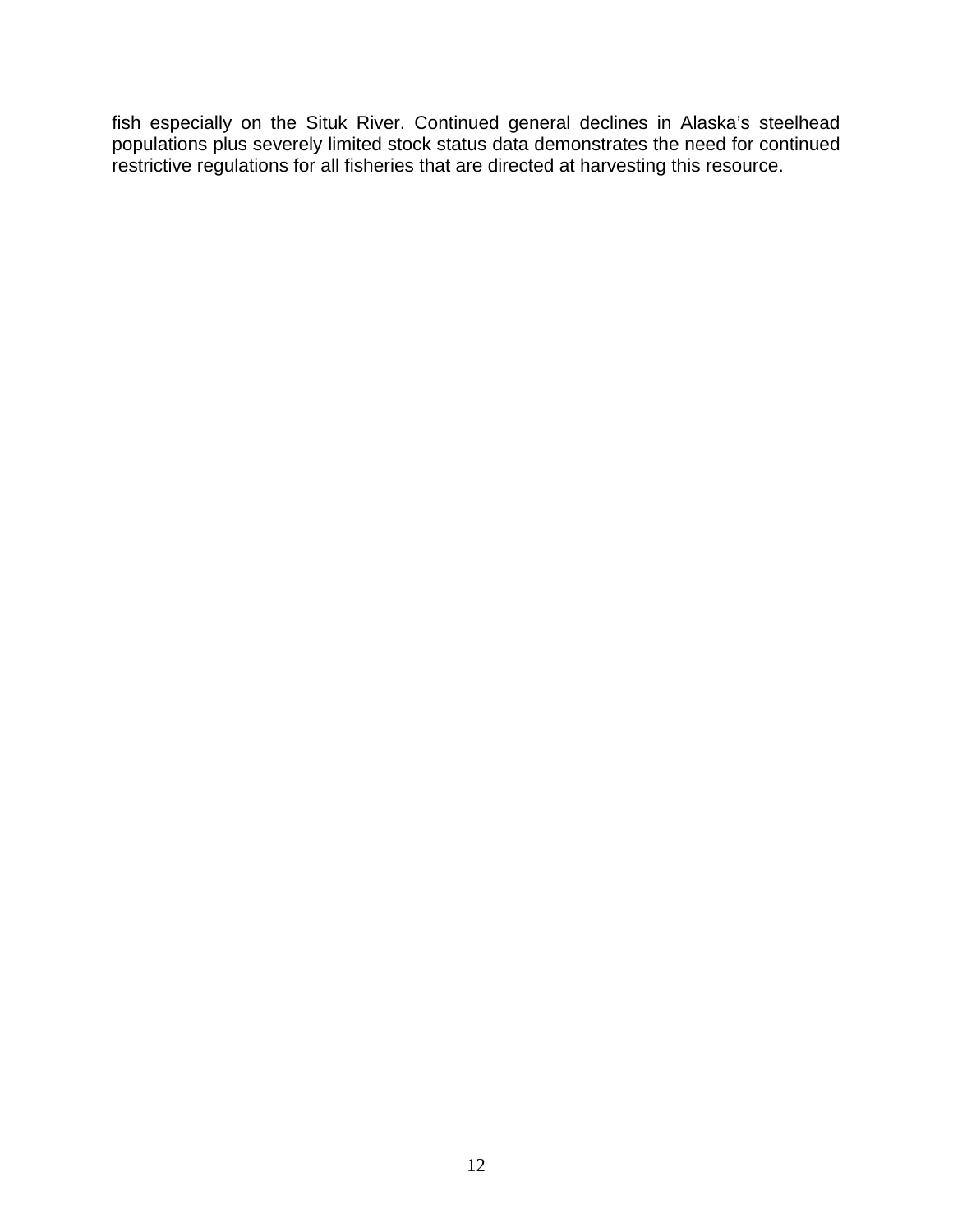fish especially on the Situk River. Continued general declines in Alaska's steelhead populations plus severely limited stock status data demonstrates the need for continued restrictive regulations for all fisheries that are directed at harvesting this resource.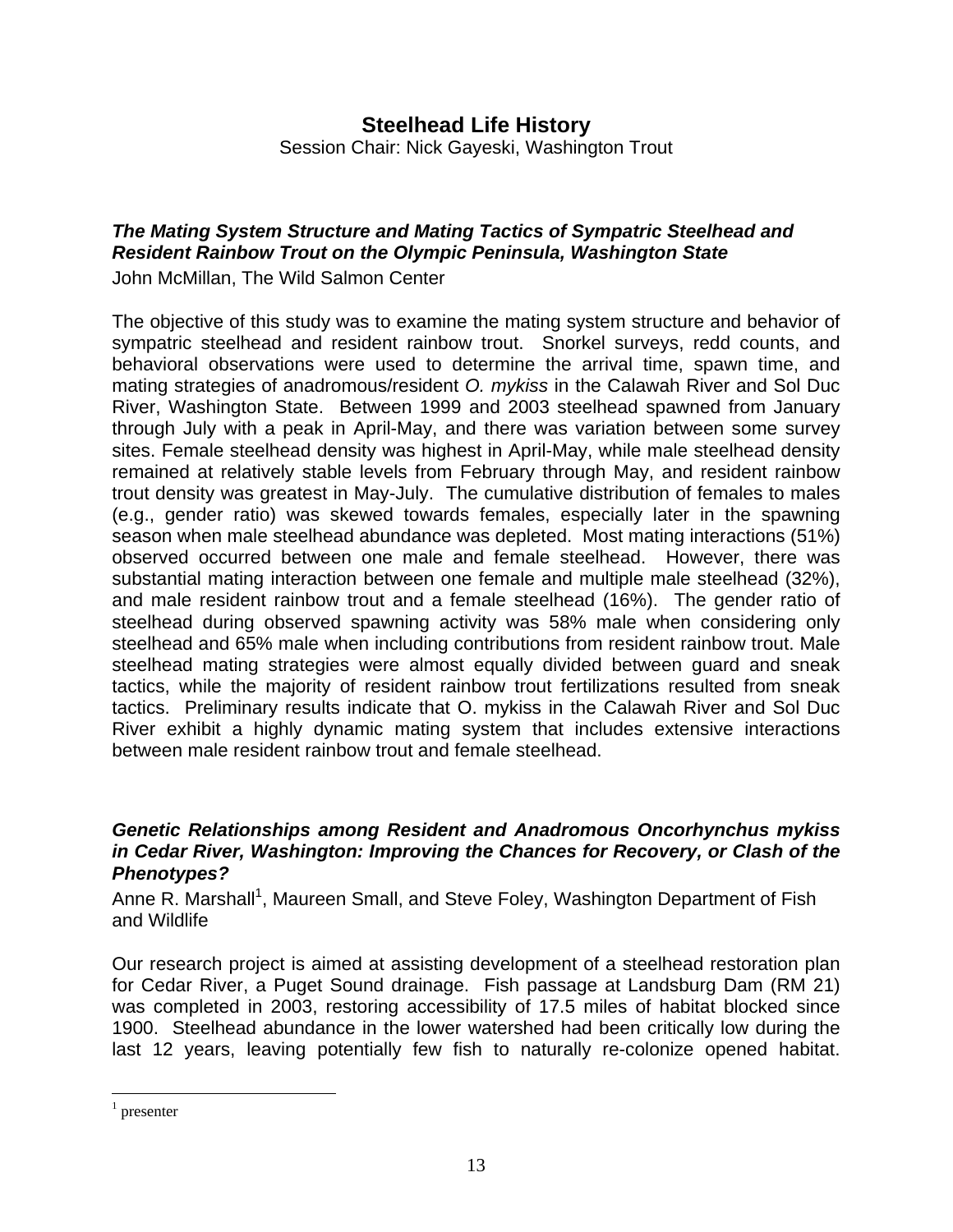# **Steelhead Life History**  Session Chair: Nick Gayeski, Washington Trout

# <span id="page-15-0"></span>*The Mating System Structure and Mating Tactics of Sympatric Steelhead and Resident Rainbow Trout on the Olympic Peninsula, Washington State*

John McMillan, The Wild Salmon Center

The objective of this study was to examine the mating system structure and behavior of sympatric steelhead and resident rainbow trout. Snorkel surveys, redd counts, and behavioral observations were used to determine the arrival time, spawn time, and mating strategies of anadromous/resident *O. mykiss* in the Calawah River and Sol Duc River, Washington State. Between 1999 and 2003 steelhead spawned from January through July with a peak in April-May, and there was variation between some survey sites. Female steelhead density was highest in April-May, while male steelhead density remained at relatively stable levels from February through May, and resident rainbow trout density was greatest in May-July. The cumulative distribution of females to males (e.g., gender ratio) was skewed towards females, especially later in the spawning season when male steelhead abundance was depleted. Most mating interactions (51%) observed occurred between one male and female steelhead. However, there was substantial mating interaction between one female and multiple male steelhead (32%), and male resident rainbow trout and a female steelhead (16%). The gender ratio of steelhead during observed spawning activity was 58% male when considering only steelhead and 65% male when including contributions from resident rainbow trout. Male steelhead mating strategies were almost equally divided between guard and sneak tactics, while the majority of resident rainbow trout fertilizations resulted from sneak tactics. Preliminary results indicate that O. mykiss in the Calawah River and Sol Duc River exhibit a highly dynamic mating system that includes extensive interactions between male resident rainbow trout and female steelhead.

#### *Genetic Relationships among Resident and Anadromous Oncorhynchus mykiss in Cedar River, Washington: Improving the Chances for Recovery, or Clash of the Phenotypes?*

Anne R. Marshall<sup>[1](#page-15-1)</sup>, Maureen Small, and Steve Foley, Washington Department of Fish and Wildlife

Our research project is aimed at assisting development of a steelhead restoration plan for Cedar River, a Puget Sound drainage. Fish passage at Landsburg Dam (RM 21) was completed in 2003, restoring accessibility of 17.5 miles of habitat blocked since 1900. Steelhead abundance in the lower watershed had been critically low during the last 12 years, leaving potentially few fish to naturally re-colonize opened habitat.

 $\overline{a}$ 

<span id="page-15-1"></span><sup>1</sup> presenter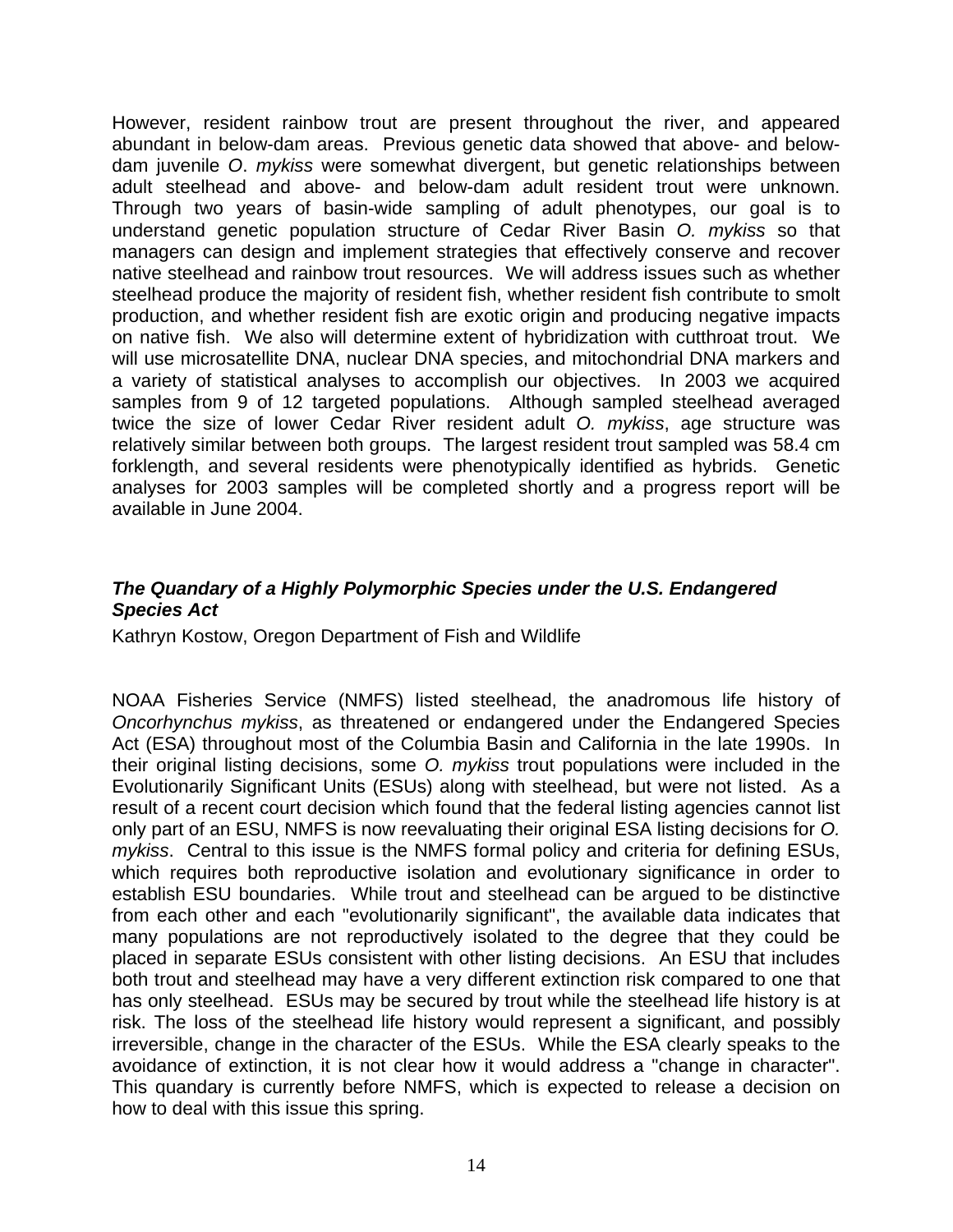<span id="page-16-0"></span>However, resident rainbow trout are present throughout the river, and appeared abundant in below-dam areas. Previous genetic data showed that above- and belowdam juvenile *O*. *mykiss* were somewhat divergent, but genetic relationships between adult steelhead and above- and below-dam adult resident trout were unknown. Through two years of basin-wide sampling of adult phenotypes, our goal is to understand genetic population structure of Cedar River Basin *O. mykiss* so that managers can design and implement strategies that effectively conserve and recover native steelhead and rainbow trout resources. We will address issues such as whether steelhead produce the majority of resident fish, whether resident fish contribute to smolt production, and whether resident fish are exotic origin and producing negative impacts on native fish. We also will determine extent of hybridization with cutthroat trout. We will use microsatellite DNA, nuclear DNA species, and mitochondrial DNA markers and a variety of statistical analyses to accomplish our objectives. In 2003 we acquired samples from 9 of 12 targeted populations. Although sampled steelhead averaged twice the size of lower Cedar River resident adult *O. mykiss*, age structure was relatively similar between both groups. The largest resident trout sampled was 58.4 cm forklength, and several residents were phenotypically identified as hybrids. Genetic analyses for 2003 samples will be completed shortly and a progress report will be available in June 2004.

# *The Quandary of a Highly Polymorphic Species under the U.S. Endangered Species Act*

Kathryn Kostow, Oregon Department of Fish and Wildlife

NOAA Fisheries Service (NMFS) listed steelhead, the anadromous life history of *Oncorhynchus mykiss*, as threatened or endangered under the Endangered Species Act (ESA) throughout most of the Columbia Basin and California in the late 1990s. In their original listing decisions, some *O. mykiss* trout populations were included in the Evolutionarily Significant Units (ESUs) along with steelhead, but were not listed. As a result of a recent court decision which found that the federal listing agencies cannot list only part of an ESU, NMFS is now reevaluating their original ESA listing decisions for *O. mykiss*. Central to this issue is the NMFS formal policy and criteria for defining ESUs, which requires both reproductive isolation and evolutionary significance in order to establish ESU boundaries. While trout and steelhead can be argued to be distinctive from each other and each "evolutionarily significant", the available data indicates that many populations are not reproductively isolated to the degree that they could be placed in separate ESUs consistent with other listing decisions. An ESU that includes both trout and steelhead may have a very different extinction risk compared to one that has only steelhead. ESUs may be secured by trout while the steelhead life history is at risk. The loss of the steelhead life history would represent a significant, and possibly irreversible, change in the character of the ESUs. While the ESA clearly speaks to the avoidance of extinction, it is not clear how it would address a "change in character". This quandary is currently before NMFS, which is expected to release a decision on how to deal with this issue this spring.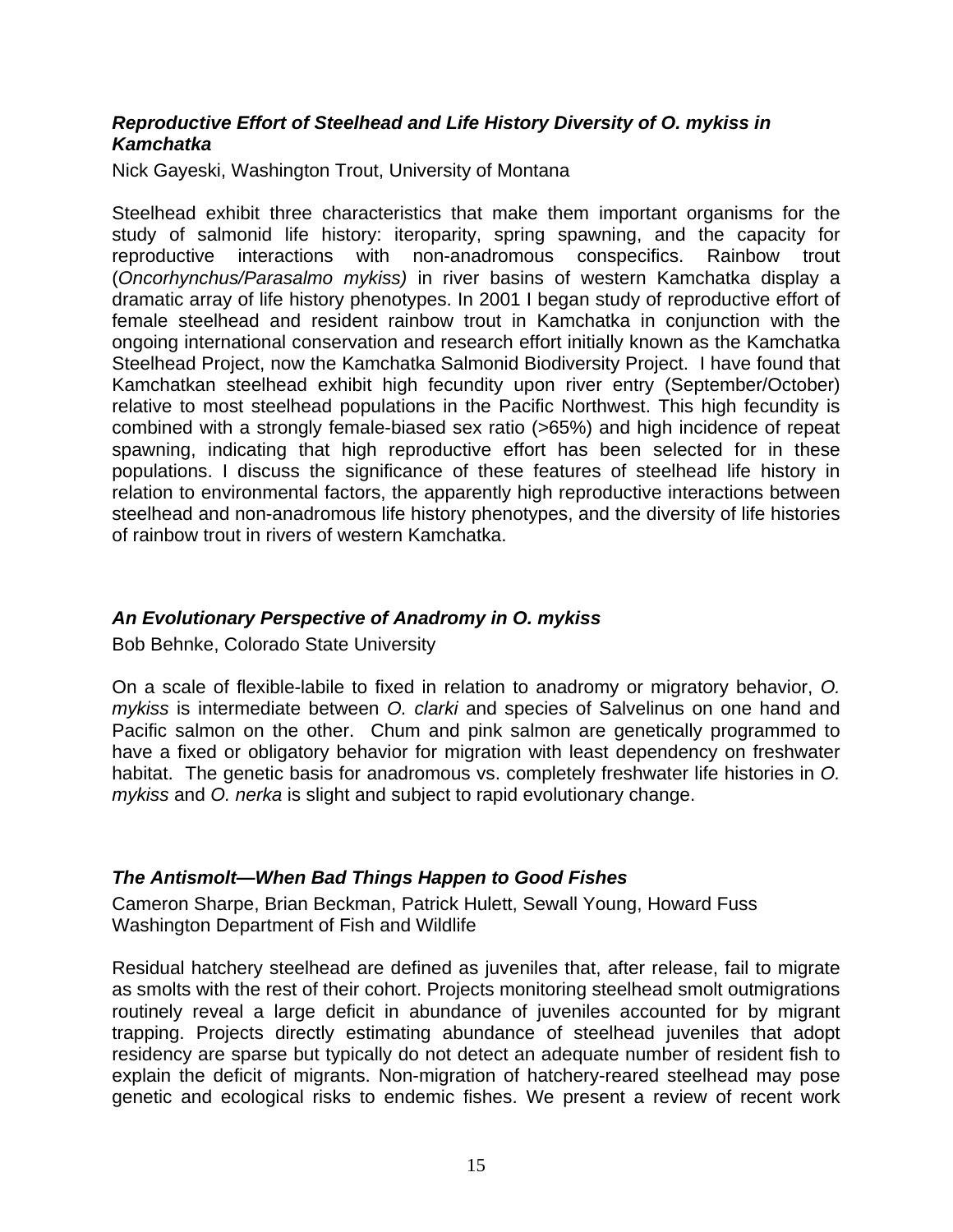#### <span id="page-17-0"></span>*Reproductive Effort of Steelhead and Life History Diversity of O. mykiss in Kamchatka*

Nick Gayeski, Washington Trout, University of Montana

Steelhead exhibit three characteristics that make them important organisms for the study of salmonid life history: iteroparity, spring spawning, and the capacity for reproductive interactions with non-anadromous conspecifics. Rainbow trout (*Oncorhynchus/Parasalmo mykiss)* in river basins of western Kamchatka display a dramatic array of life history phenotypes. In 2001 I began study of reproductive effort of female steelhead and resident rainbow trout in Kamchatka in conjunction with the ongoing international conservation and research effort initially known as the Kamchatka Steelhead Project, now the Kamchatka Salmonid Biodiversity Project. I have found that Kamchatkan steelhead exhibit high fecundity upon river entry (September/October) relative to most steelhead populations in the Pacific Northwest. This high fecundity is combined with a strongly female-biased sex ratio (>65%) and high incidence of repeat spawning, indicating that high reproductive effort has been selected for in these populations. I discuss the significance of these features of steelhead life history in relation to environmental factors, the apparently high reproductive interactions between steelhead and non-anadromous life history phenotypes, and the diversity of life histories of rainbow trout in rivers of western Kamchatka.

#### *An Evolutionary Perspective of Anadromy in O. mykiss*

Bob Behnke, Colorado State University

On a scale of flexible-labile to fixed in relation to anadromy or migratory behavior, *O. mykiss* is intermediate between *O. clarki* and species of Salvelinus on one hand and Pacific salmon on the other. Chum and pink salmon are genetically programmed to have a fixed or obligatory behavior for migration with least dependency on freshwater habitat. The genetic basis for anadromous vs. completely freshwater life histories in *O. mykiss* and *O. nerka* is slight and subject to rapid evolutionary change.

#### *The Antismolt—When Bad Things Happen to Good Fishes*

Cameron Sharpe, Brian Beckman, Patrick Hulett, Sewall Young, Howard Fuss Washington Department of Fish and Wildlife

Residual hatchery steelhead are defined as juveniles that, after release, fail to migrate as smolts with the rest of their cohort. Projects monitoring steelhead smolt outmigrations routinely reveal a large deficit in abundance of juveniles accounted for by migrant trapping. Projects directly estimating abundance of steelhead juveniles that adopt residency are sparse but typically do not detect an adequate number of resident fish to explain the deficit of migrants. Non-migration of hatchery-reared steelhead may pose genetic and ecological risks to endemic fishes. We present a review of recent work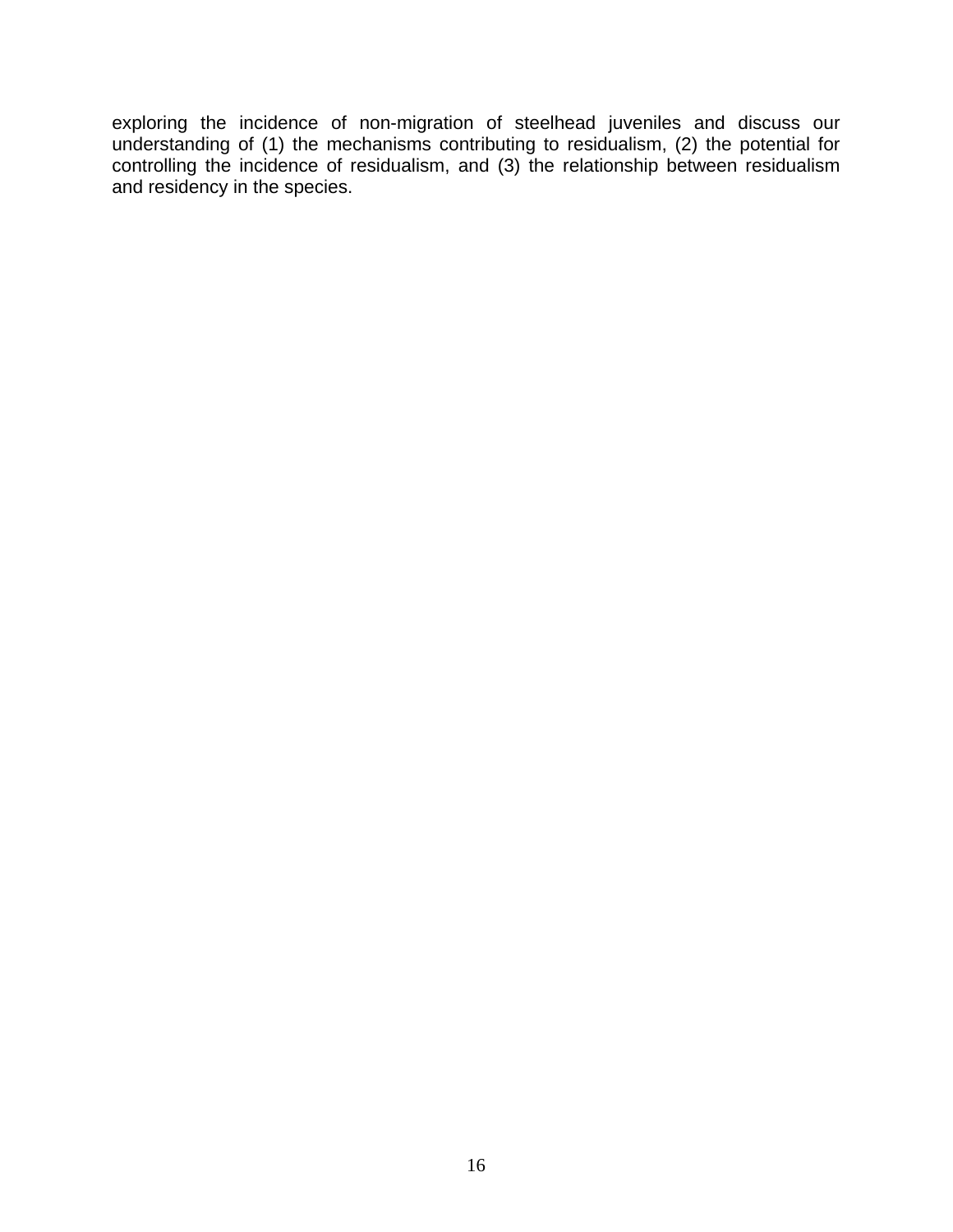exploring the incidence of non-migration of steelhead juveniles and discuss our understanding of (1) the mechanisms contributing to residualism, (2) the potential for controlling the incidence of residualism, and (3) the relationship between residualism and residency in the species.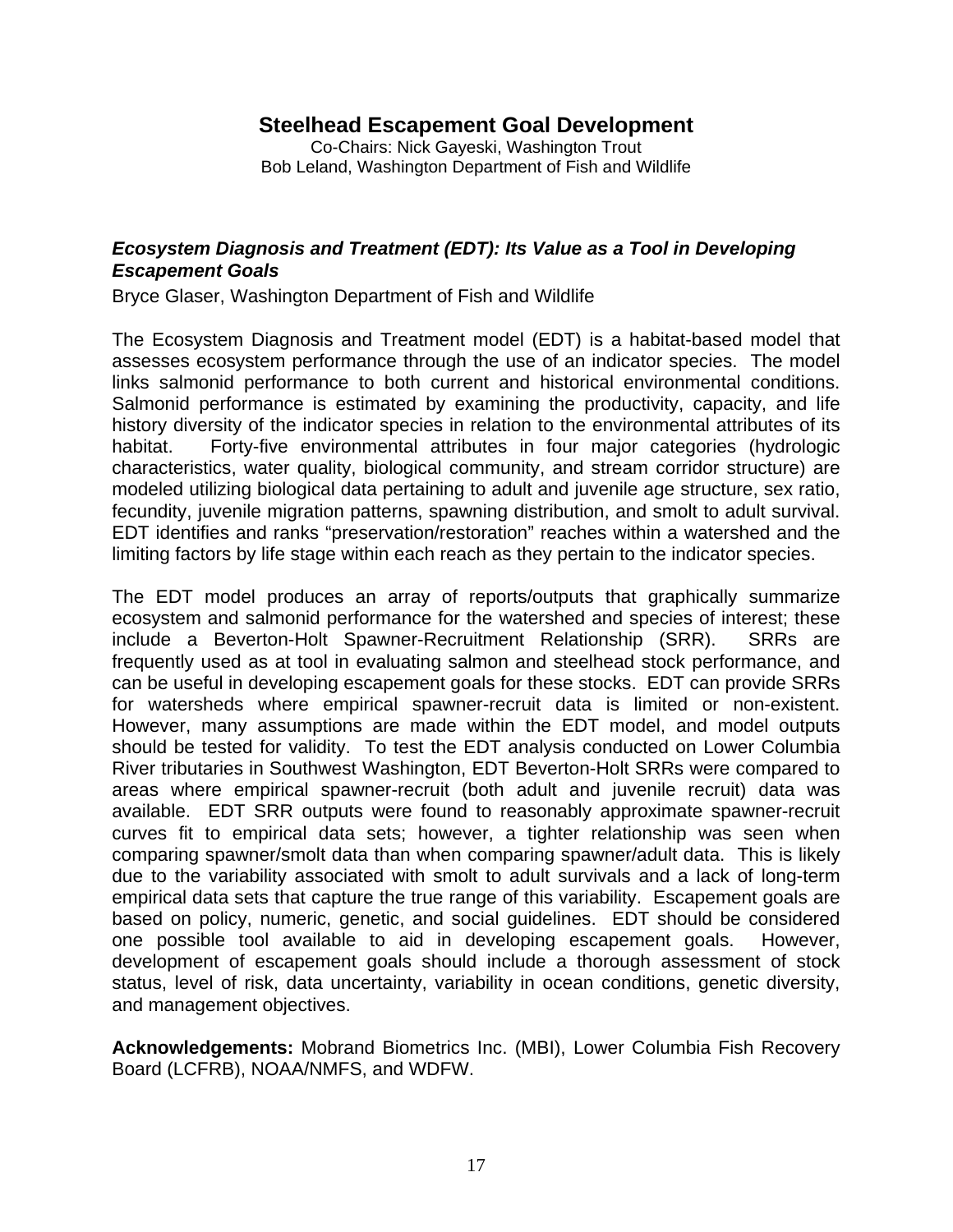# **Steelhead Escapement Goal Development**

Co-Chairs: Nick Gayeski, Washington Trout Bob Leland, Washington Department of Fish and Wildlife

#### <span id="page-19-0"></span>*Ecosystem Diagnosis and Treatment (EDT): Its Value as a Tool in Developing Escapement Goals*

Bryce Glaser, Washington Department of Fish and Wildlife

The Ecosystem Diagnosis and Treatment model (EDT) is a habitat-based model that assesses ecosystem performance through the use of an indicator species. The model links salmonid performance to both current and historical environmental conditions. Salmonid performance is estimated by examining the productivity, capacity, and life history diversity of the indicator species in relation to the environmental attributes of its habitat. Forty-five environmental attributes in four major categories (hydrologic characteristics, water quality, biological community, and stream corridor structure) are modeled utilizing biological data pertaining to adult and juvenile age structure, sex ratio, fecundity, juvenile migration patterns, spawning distribution, and smolt to adult survival. EDT identifies and ranks "preservation/restoration" reaches within a watershed and the limiting factors by life stage within each reach as they pertain to the indicator species.

The EDT model produces an array of reports/outputs that graphically summarize ecosystem and salmonid performance for the watershed and species of interest; these include a Beverton-Holt Spawner-Recruitment Relationship (SRR). SRRs are frequently used as at tool in evaluating salmon and steelhead stock performance, and can be useful in developing escapement goals for these stocks. EDT can provide SRRs for watersheds where empirical spawner-recruit data is limited or non-existent. However, many assumptions are made within the EDT model, and model outputs should be tested for validity. To test the EDT analysis conducted on Lower Columbia River tributaries in Southwest Washington, EDT Beverton-Holt SRRs were compared to areas where empirical spawner-recruit (both adult and juvenile recruit) data was available. EDT SRR outputs were found to reasonably approximate spawner-recruit curves fit to empirical data sets; however, a tighter relationship was seen when comparing spawner/smolt data than when comparing spawner/adult data. This is likely due to the variability associated with smolt to adult survivals and a lack of long-term empirical data sets that capture the true range of this variability. Escapement goals are based on policy, numeric, genetic, and social guidelines. EDT should be considered one possible tool available to aid in developing escapement goals. However, development of escapement goals should include a thorough assessment of stock status, level of risk, data uncertainty, variability in ocean conditions, genetic diversity, and management objectives.

**Acknowledgements:** Mobrand Biometrics Inc. (MBI), Lower Columbia Fish Recovery Board (LCFRB), NOAA/NMFS, and WDFW.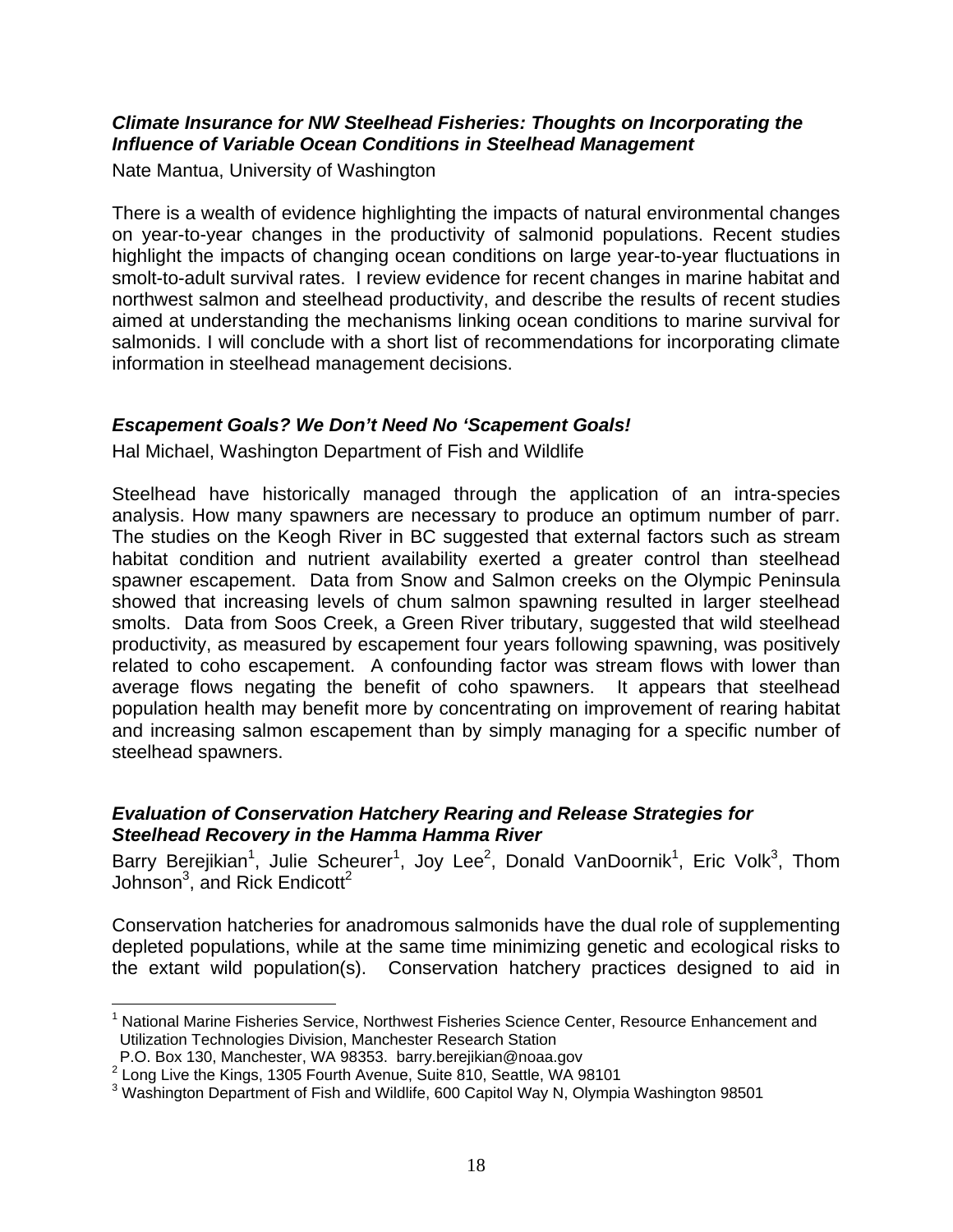#### <span id="page-20-0"></span>*Climate Insurance for NW Steelhead Fisheries: Thoughts on Incorporating the Influence of Variable Ocean Conditions in Steelhead Management*

Nate Mantua, University of Washington

There is a wealth of evidence highlighting the impacts of natural environmental changes on year-to-year changes in the productivity of salmonid populations. Recent studies highlight the impacts of changing ocean conditions on large year-to-year fluctuations in smolt-to-adult survival rates. I review evidence for recent changes in marine habitat and northwest salmon and steelhead productivity, and describe the results of recent studies aimed at understanding the mechanisms linking ocean conditions to marine survival for salmonids. I will conclude with a short list of recommendations for incorporating climate information in steelhead management decisions.

#### *Escapement Goals? We Don't Need No 'Scapement Goals!*

Hal Michael, Washington Department of Fish and Wildlife

Steelhead have historically managed through the application of an intra-species analysis. How many spawners are necessary to produce an optimum number of parr. The studies on the Keogh River in BC suggested that external factors such as stream habitat condition and nutrient availability exerted a greater control than steelhead spawner escapement. Data from Snow and Salmon creeks on the Olympic Peninsula showed that increasing levels of chum salmon spawning resulted in larger steelhead smolts. Data from Soos Creek, a Green River tributary, suggested that wild steelhead productivity, as measured by escapement four years following spawning, was positively related to coho escapement. A confounding factor was stream flows with lower than average flows negating the benefit of coho spawners. It appears that steelhead population health may benefit more by concentrating on improvement of rearing habitat and increasing salmon escapement than by simply managing for a specific number of steelhead spawners.

#### *Evaluation of Conservation Hatchery Rearing and Release Strategies for Steelhead Recovery in the Hamma Hamma River*

Barry Berejikian<sup>[1](#page-20-1)</sup>, Julie Scheurer<sup>1</sup>, Joy Lee<sup>[2](#page-20-2)</sup>, Donald VanDoornik<sup>1</sup>, Eric Volk<sup>[3](#page-20-3)</sup>, Thom Johnson<sup>3</sup>, and Rick Endicott<sup>2</sup>

Conservation hatcheries for anadromous salmonids have the dual role of supplementing depleted populations, while at the same time minimizing genetic and ecological risks to the extant wild population(s). Conservation hatchery practices designed to aid in

<span id="page-20-1"></span> $\overline{a}$ <sup>1</sup> National Marine Fisheries Service, Northwest Fisheries Science Center, Resource Enhancement and Utilization Technologies Division, Manchester Research Station

P.O. Box 130, Manchester, WA 98353. barry.berejikian@noaa.gov 2

<span id="page-20-2"></span><sup>2</sup> Long Live the Kings, 1305 Fourth Avenue, Suite 810, Seattle, WA 98101

<span id="page-20-3"></span> $3$  Washington Department of Fish and Wildlife, 600 Capitol Way N, Olympia Washington 98501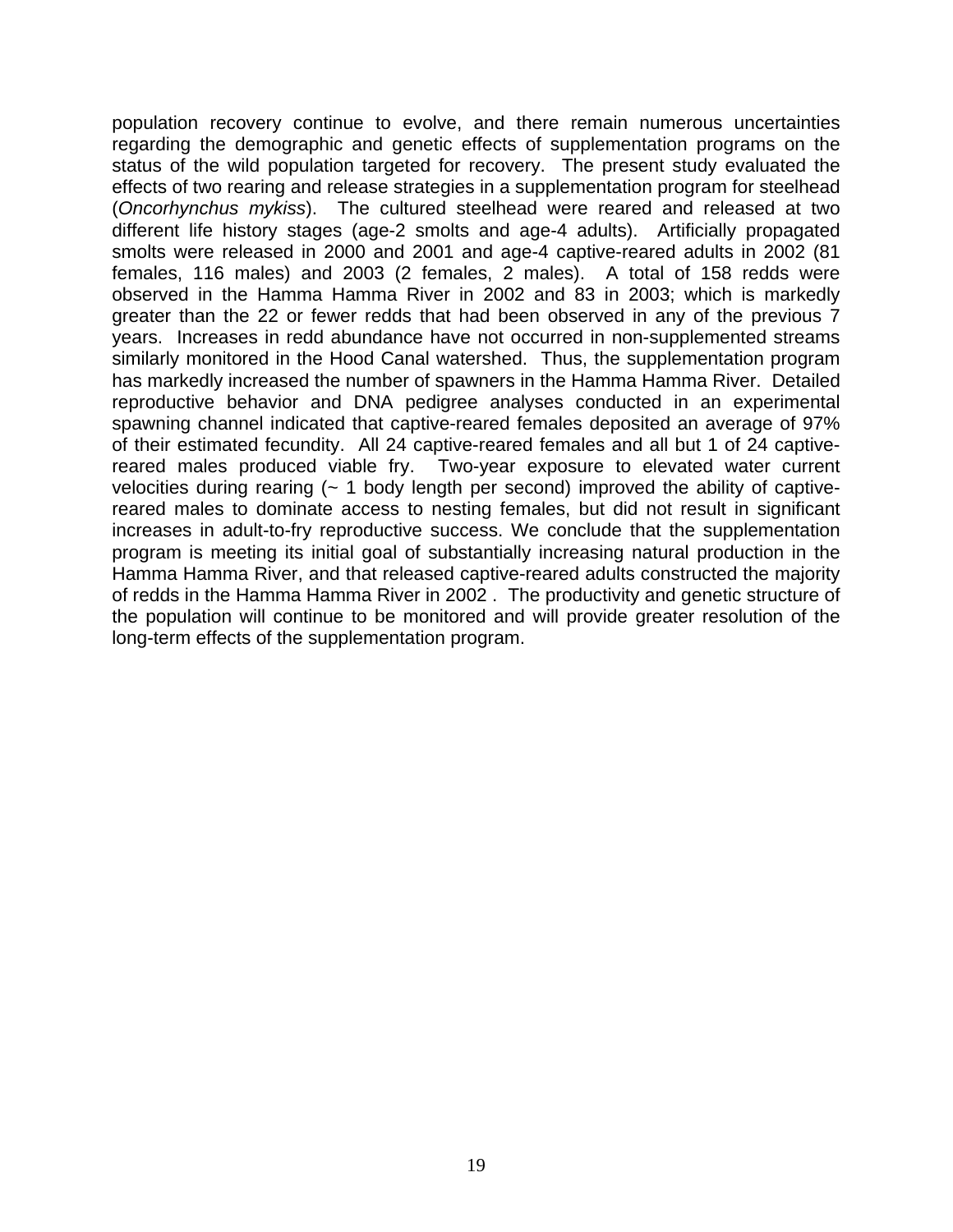population recovery continue to evolve, and there remain numerous uncertainties regarding the demographic and genetic effects of supplementation programs on the status of the wild population targeted for recovery. The present study evaluated the effects of two rearing and release strategies in a supplementation program for steelhead (*Oncorhynchus mykiss*). The cultured steelhead were reared and released at two different life history stages (age-2 smolts and age-4 adults). Artificially propagated smolts were released in 2000 and 2001 and age-4 captive-reared adults in 2002 (81 females, 116 males) and 2003 (2 females, 2 males). A total of 158 redds were observed in the Hamma Hamma River in 2002 and 83 in 2003; which is markedly greater than the 22 or fewer redds that had been observed in any of the previous 7 years. Increases in redd abundance have not occurred in non-supplemented streams similarly monitored in the Hood Canal watershed. Thus, the supplementation program has markedly increased the number of spawners in the Hamma Hamma River. Detailed reproductive behavior and DNA pedigree analyses conducted in an experimental spawning channel indicated that captive-reared females deposited an average of 97% of their estimated fecundity. All 24 captive-reared females and all but 1 of 24 captivereared males produced viable fry. Two-year exposure to elevated water current velocities during rearing  $($  - 1 body length per second) improved the ability of captivereared males to dominate access to nesting females, but did not result in significant increases in adult-to-fry reproductive success. We conclude that the supplementation program is meeting its initial goal of substantially increasing natural production in the Hamma Hamma River, and that released captive-reared adults constructed the majority of redds in the Hamma Hamma River in 2002 . The productivity and genetic structure of the population will continue to be monitored and will provide greater resolution of the long-term effects of the supplementation program.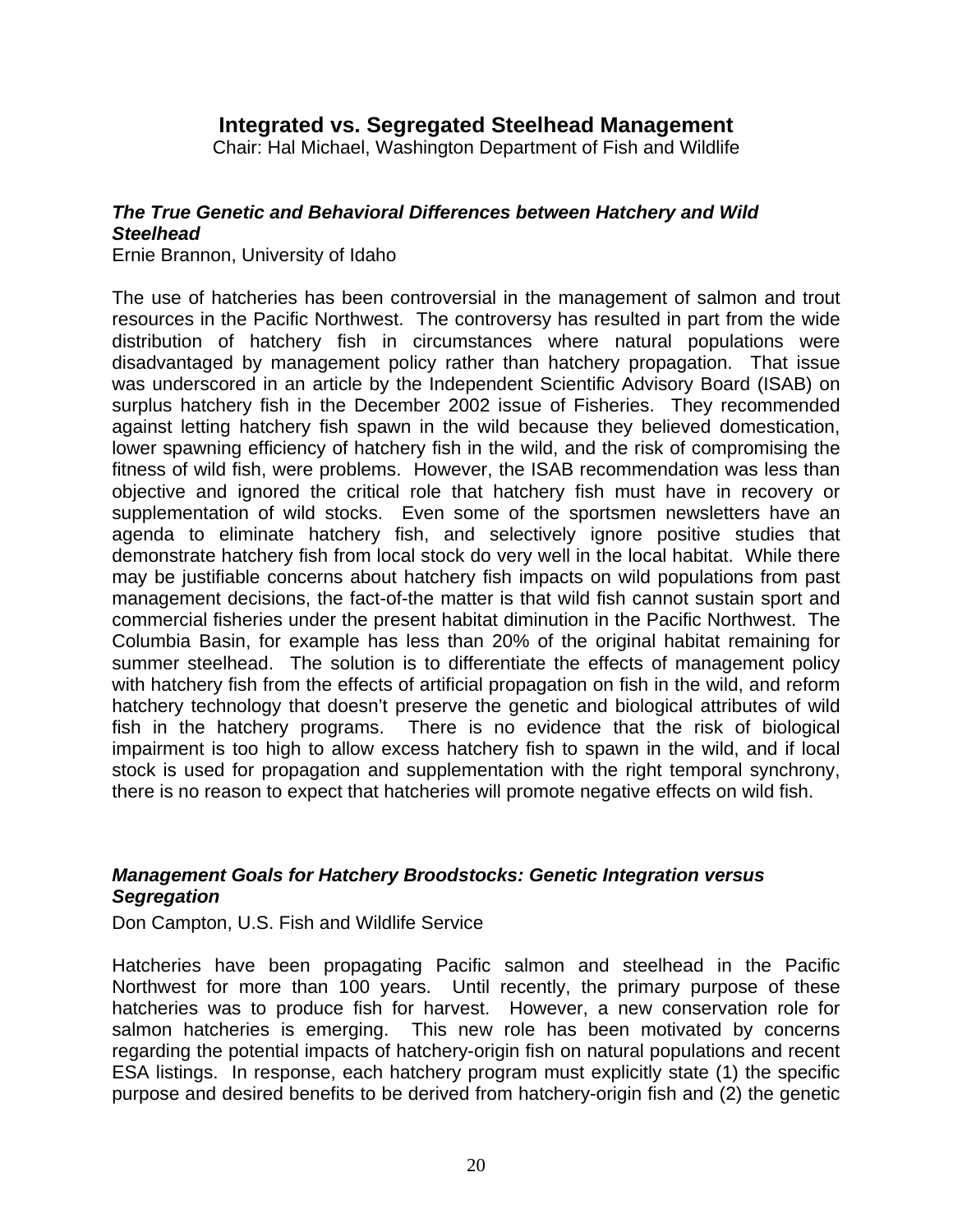# **Integrated vs. Segregated Steelhead Management**

Chair: Hal Michael, Washington Department of Fish and Wildlife

#### <span id="page-22-0"></span>*The True Genetic and Behavioral Differences between Hatchery and Wild Steelhead*

Ernie Brannon, University of Idaho

The use of hatcheries has been controversial in the management of salmon and trout resources in the Pacific Northwest. The controversy has resulted in part from the wide distribution of hatchery fish in circumstances where natural populations were disadvantaged by management policy rather than hatchery propagation. That issue was underscored in an article by the Independent Scientific Advisory Board (ISAB) on surplus hatchery fish in the December 2002 issue of Fisheries. They recommended against letting hatchery fish spawn in the wild because they believed domestication, lower spawning efficiency of hatchery fish in the wild, and the risk of compromising the fitness of wild fish, were problems. However, the ISAB recommendation was less than objective and ignored the critical role that hatchery fish must have in recovery or supplementation of wild stocks. Even some of the sportsmen newsletters have an agenda to eliminate hatchery fish, and selectively ignore positive studies that demonstrate hatchery fish from local stock do very well in the local habitat. While there may be justifiable concerns about hatchery fish impacts on wild populations from past management decisions, the fact-of-the matter is that wild fish cannot sustain sport and commercial fisheries under the present habitat diminution in the Pacific Northwest. The Columbia Basin, for example has less than 20% of the original habitat remaining for summer steelhead. The solution is to differentiate the effects of management policy with hatchery fish from the effects of artificial propagation on fish in the wild, and reform hatchery technology that doesn't preserve the genetic and biological attributes of wild fish in the hatchery programs. There is no evidence that the risk of biological impairment is too high to allow excess hatchery fish to spawn in the wild, and if local stock is used for propagation and supplementation with the right temporal synchrony, there is no reason to expect that hatcheries will promote negative effects on wild fish.

#### *Management Goals for Hatchery Broodstocks: Genetic Integration versus Segregation*

Don Campton, U.S. Fish and Wildlife Service

Hatcheries have been propagating Pacific salmon and steelhead in the Pacific Northwest for more than 100 years. Until recently, the primary purpose of these hatcheries was to produce fish for harvest. However, a new conservation role for salmon hatcheries is emerging. This new role has been motivated by concerns regarding the potential impacts of hatchery-origin fish on natural populations and recent ESA listings. In response, each hatchery program must explicitly state (1) the specific purpose and desired benefits to be derived from hatchery-origin fish and (2) the genetic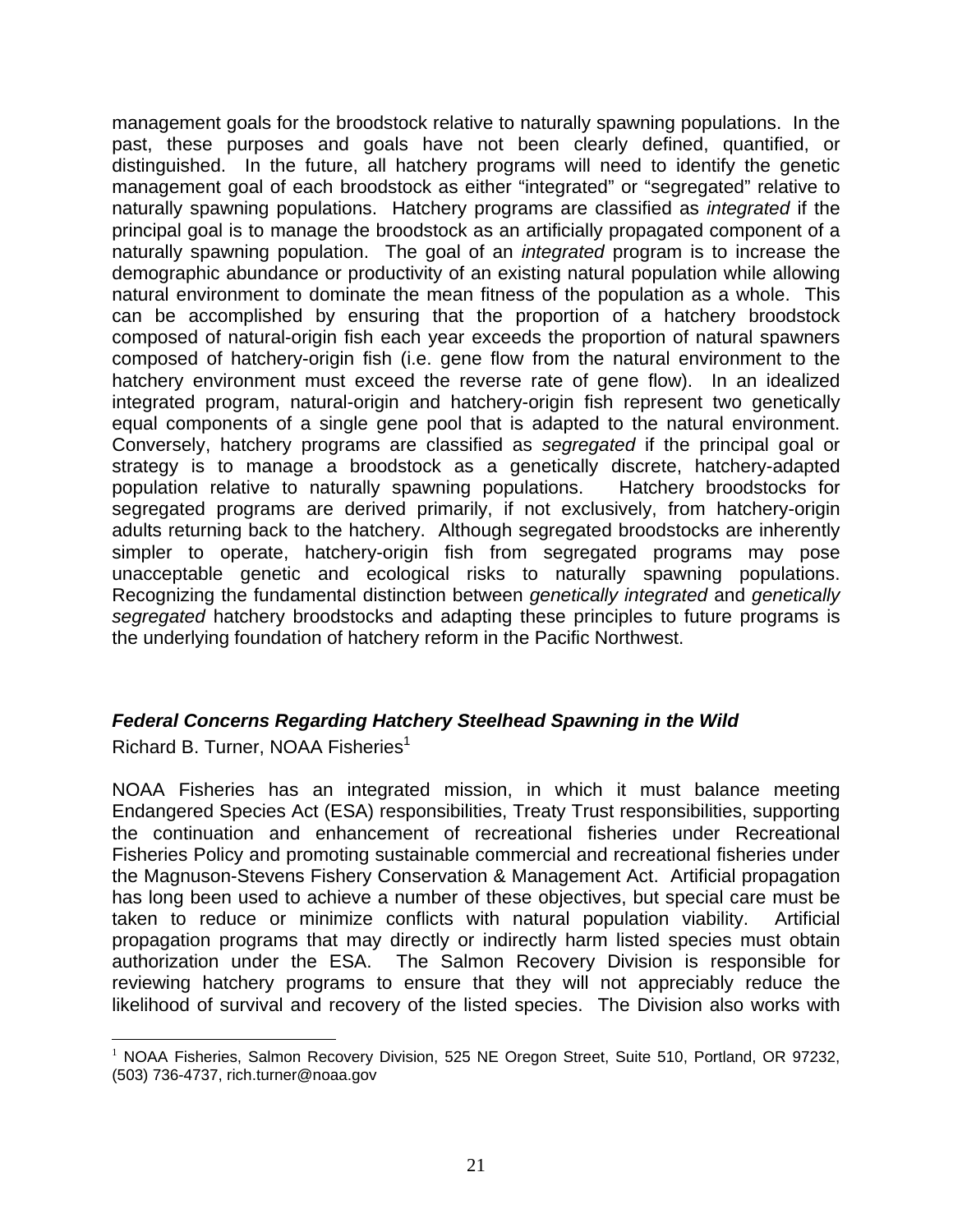<span id="page-23-0"></span>management goals for the broodstock relative to naturally spawning populations. In the past, these purposes and goals have not been clearly defined, quantified, or distinguished. In the future, all hatchery programs will need to identify the genetic management goal of each broodstock as either "integrated" or "segregated" relative to naturally spawning populations. Hatchery programs are classified as *integrated* if the principal goal is to manage the broodstock as an artificially propagated component of a naturally spawning population. The goal of an *integrated* program is to increase the demographic abundance or productivity of an existing natural population while allowing natural environment to dominate the mean fitness of the population as a whole. This can be accomplished by ensuring that the proportion of a hatchery broodstock composed of natural-origin fish each year exceeds the proportion of natural spawners composed of hatchery-origin fish (i.e. gene flow from the natural environment to the hatchery environment must exceed the reverse rate of gene flow). In an idealized integrated program, natural-origin and hatchery-origin fish represent two genetically equal components of a single gene pool that is adapted to the natural environment. Conversely, hatchery programs are classified as *segregated* if the principal goal or strategy is to manage a broodstock as a genetically discrete, hatchery-adapted population relative to naturally spawning populations. Hatchery broodstocks for segregated programs are derived primarily, if not exclusively, from hatchery-origin adults returning back to the hatchery. Although segregated broodstocks are inherently simpler to operate, hatchery-origin fish from segregated programs may pose unacceptable genetic and ecological risks to naturally spawning populations. Recognizing the fundamental distinction between *genetically integrated* and *genetically segregated* hatchery broodstocks and adapting these principles to future programs is the underlying foundation of hatchery reform in the Pacific Northwest.

#### *Federal Concerns Regarding Hatchery Steelhead Spawning in the Wild*

Richard B. Turner, NOAA Fisheries<sup>1</sup>

NOAA Fisheries has an integrated mission, in which it must balance meeting Endangered Species Act (ESA) responsibilities, Treaty Trust responsibilities, supporting the continuation and enhancement of recreational fisheries under Recreational Fisheries Policy and promoting sustainable commercial and recreational fisheries under the Magnuson-Stevens Fishery Conservation & Management Act. Artificial propagation has long been used to achieve a number of these objectives, but special care must be taken to reduce or minimize conflicts with natural population viability. Artificial propagation programs that may directly or indirectly harm listed species must obtain authorization under the ESA. The Salmon Recovery Division is responsible for reviewing hatchery programs to ensure that they will not appreciably reduce the likelihood of survival and recovery of the listed species. The Division also works with

<span id="page-23-1"></span> $\overline{a}$  $1$  NOAA Fisheries, Salmon Recovery Division, 525 NE Oregon Street, Suite 510, Portland, OR 97232, (503) 736-4737, rich.turner@noaa.gov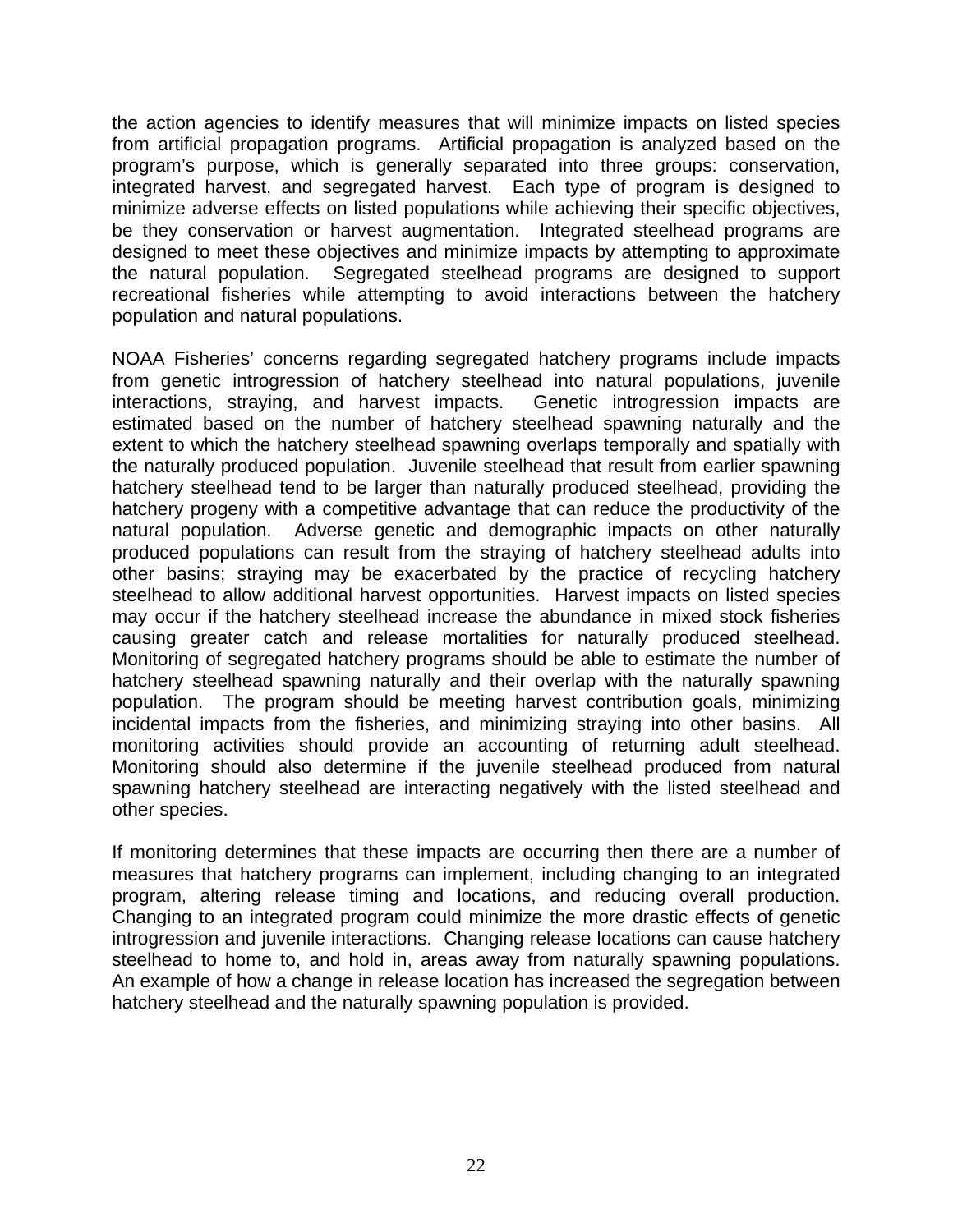the action agencies to identify measures that will minimize impacts on listed species from artificial propagation programs. Artificial propagation is analyzed based on the program's purpose, which is generally separated into three groups: conservation, integrated harvest, and segregated harvest. Each type of program is designed to minimize adverse effects on listed populations while achieving their specific objectives, be they conservation or harvest augmentation. Integrated steelhead programs are designed to meet these objectives and minimize impacts by attempting to approximate the natural population. Segregated steelhead programs are designed to support recreational fisheries while attempting to avoid interactions between the hatchery population and natural populations.

NOAA Fisheries' concerns regarding segregated hatchery programs include impacts from genetic introgression of hatchery steelhead into natural populations, juvenile interactions, straying, and harvest impacts. Genetic introgression impacts are estimated based on the number of hatchery steelhead spawning naturally and the extent to which the hatchery steelhead spawning overlaps temporally and spatially with the naturally produced population. Juvenile steelhead that result from earlier spawning hatchery steelhead tend to be larger than naturally produced steelhead, providing the hatchery progeny with a competitive advantage that can reduce the productivity of the natural population. Adverse genetic and demographic impacts on other naturally produced populations can result from the straying of hatchery steelhead adults into other basins; straying may be exacerbated by the practice of recycling hatchery steelhead to allow additional harvest opportunities. Harvest impacts on listed species may occur if the hatchery steelhead increase the abundance in mixed stock fisheries causing greater catch and release mortalities for naturally produced steelhead. Monitoring of segregated hatchery programs should be able to estimate the number of hatchery steelhead spawning naturally and their overlap with the naturally spawning population. The program should be meeting harvest contribution goals, minimizing incidental impacts from the fisheries, and minimizing straying into other basins. All monitoring activities should provide an accounting of returning adult steelhead. Monitoring should also determine if the juvenile steelhead produced from natural spawning hatchery steelhead are interacting negatively with the listed steelhead and other species.

If monitoring determines that these impacts are occurring then there are a number of measures that hatchery programs can implement, including changing to an integrated program, altering release timing and locations, and reducing overall production. Changing to an integrated program could minimize the more drastic effects of genetic introgression and juvenile interactions. Changing release locations can cause hatchery steelhead to home to, and hold in, areas away from naturally spawning populations. An example of how a change in release location has increased the segregation between hatchery steelhead and the naturally spawning population is provided.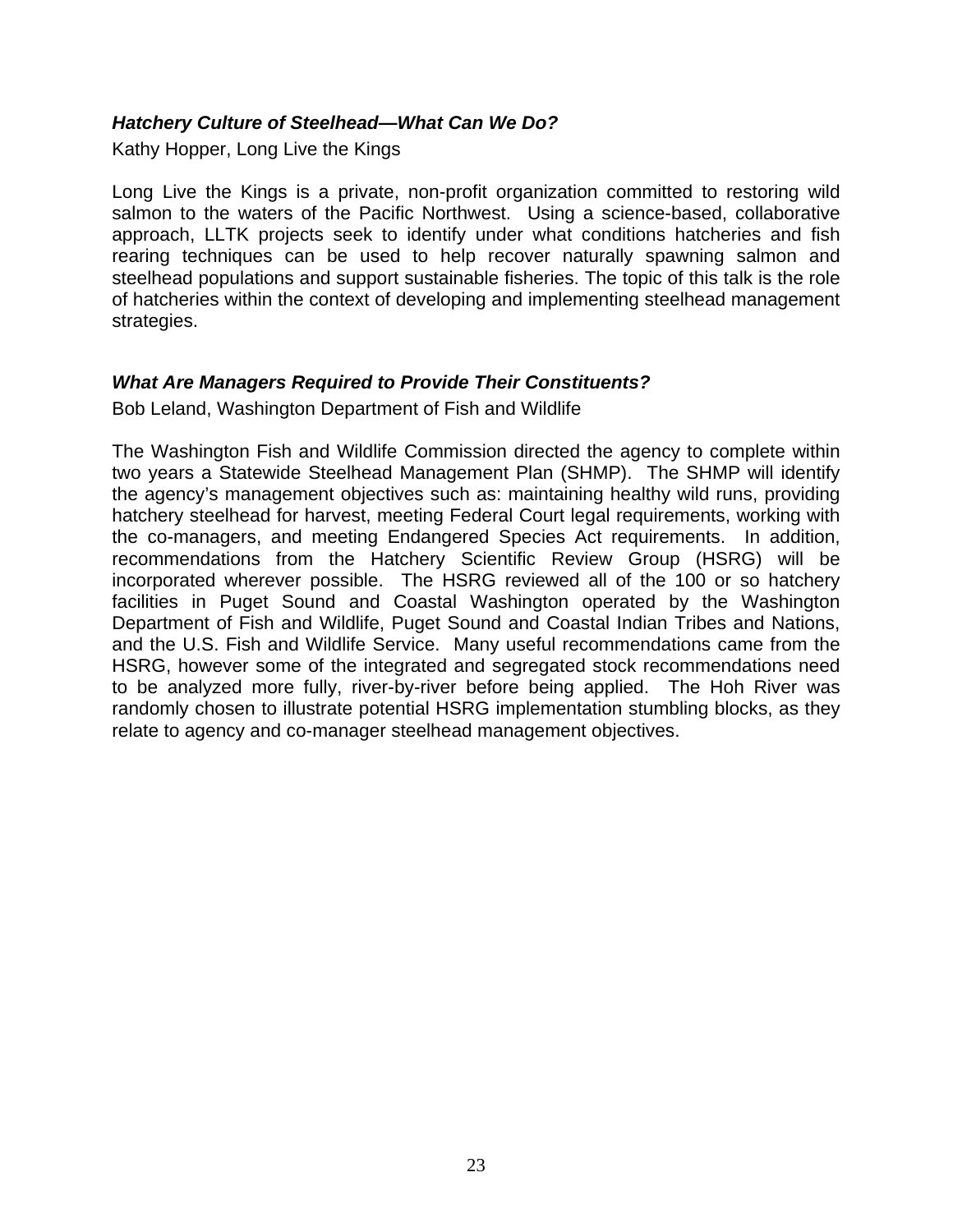#### <span id="page-25-0"></span>*Hatchery Culture of Steelhead—What Can We Do?*

Kathy Hopper, Long Live the Kings

Long Live the Kings is a private, non-profit organization committed to restoring wild salmon to the waters of the Pacific Northwest. Using a science-based, collaborative approach, LLTK projects seek to identify under what conditions hatcheries and fish rearing techniques can be used to help recover naturally spawning salmon and steelhead populations and support sustainable fisheries. The topic of this talk is the role of hatcheries within the context of developing and implementing steelhead management strategies.

#### *What Are Managers Required to Provide Their Constituents?*

Bob Leland, Washington Department of Fish and Wildlife

The Washington Fish and Wildlife Commission directed the agency to complete within two years a Statewide Steelhead Management Plan (SHMP). The SHMP will identify the agency's management objectives such as: maintaining healthy wild runs, providing hatchery steelhead for harvest, meeting Federal Court legal requirements, working with the co-managers, and meeting Endangered Species Act requirements. In addition, recommendations from the Hatchery Scientific Review Group (HSRG) will be incorporated wherever possible. The HSRG reviewed all of the 100 or so hatchery facilities in Puget Sound and Coastal Washington operated by the Washington Department of Fish and Wildlife, Puget Sound and Coastal Indian Tribes and Nations, and the U.S. Fish and Wildlife Service. Many useful recommendations came from the HSRG, however some of the integrated and segregated stock recommendations need to be analyzed more fully, river-by-river before being applied. The Hoh River was randomly chosen to illustrate potential HSRG implementation stumbling blocks, as they relate to agency and co-manager steelhead management objectives.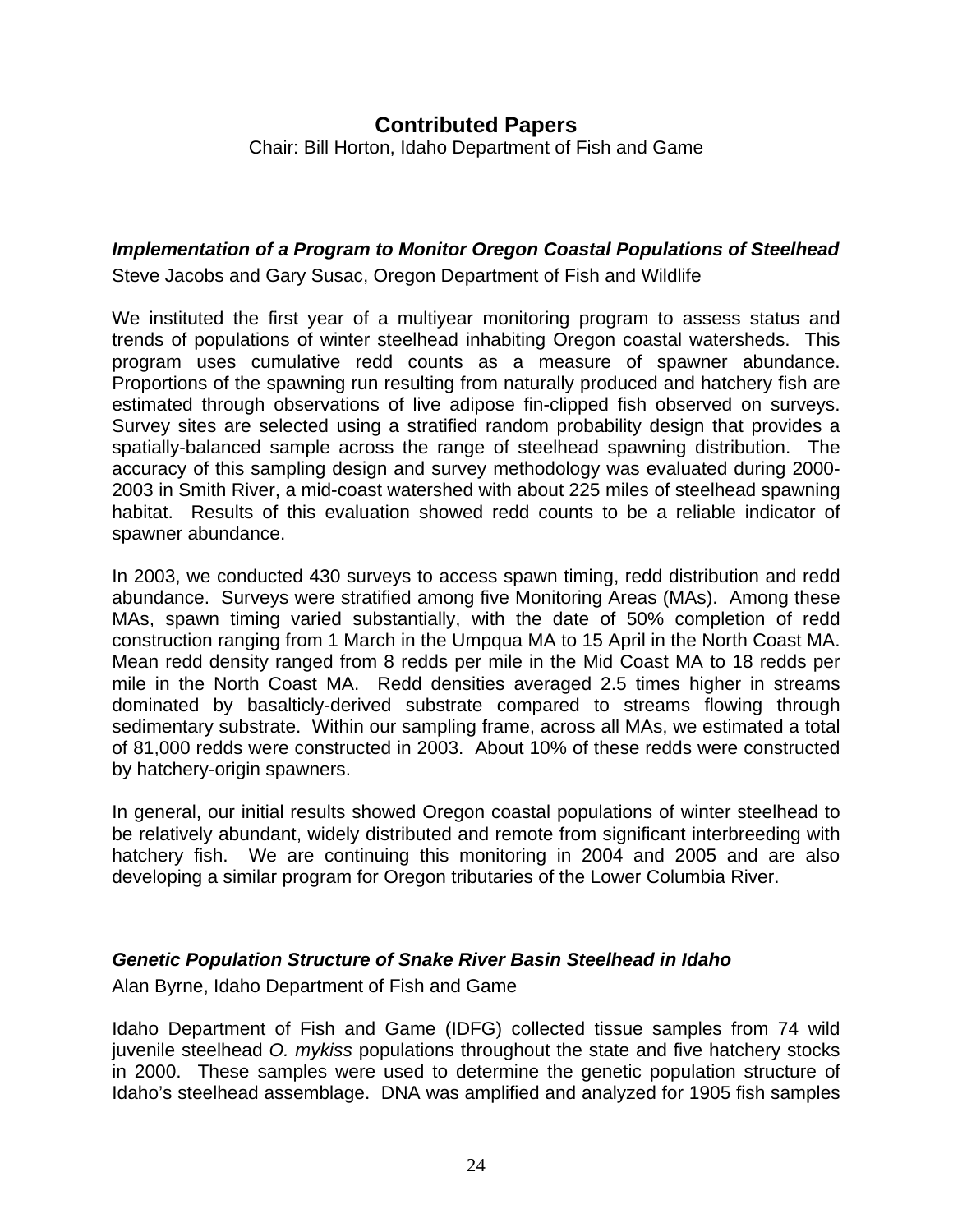### <span id="page-26-0"></span>*Implementation of a Program to Monitor Oregon Coastal Populations of Steelhead*

Steve Jacobs and Gary Susac, Oregon Department of Fish and Wildlife

We instituted the first year of a multiyear monitoring program to assess status and trends of populations of winter steelhead inhabiting Oregon coastal watersheds. This program uses cumulative redd counts as a measure of spawner abundance. Proportions of the spawning run resulting from naturally produced and hatchery fish are estimated through observations of live adipose fin-clipped fish observed on surveys. Survey sites are selected using a stratified random probability design that provides a spatially-balanced sample across the range of steelhead spawning distribution. The accuracy of this sampling design and survey methodology was evaluated during 2000- 2003 in Smith River, a mid-coast watershed with about 225 miles of steelhead spawning habitat. Results of this evaluation showed redd counts to be a reliable indicator of spawner abundance.

In 2003, we conducted 430 surveys to access spawn timing, redd distribution and redd abundance. Surveys were stratified among five Monitoring Areas (MAs). Among these MAs, spawn timing varied substantially, with the date of 50% completion of redd construction ranging from 1 March in the Umpqua MA to 15 April in the North Coast MA. Mean redd density ranged from 8 redds per mile in the Mid Coast MA to 18 redds per mile in the North Coast MA. Redd densities averaged 2.5 times higher in streams dominated by basalticly-derived substrate compared to streams flowing through sedimentary substrate. Within our sampling frame, across all MAs, we estimated a total of 81,000 redds were constructed in 2003. About 10% of these redds were constructed by hatchery-origin spawners.

In general, our initial results showed Oregon coastal populations of winter steelhead to be relatively abundant, widely distributed and remote from significant interbreeding with hatchery fish. We are continuing this monitoring in 2004 and 2005 and are also developing a similar program for Oregon tributaries of the Lower Columbia River.

#### *Genetic Population Structure of Snake River Basin Steelhead in Idaho*

Alan Byrne, Idaho Department of Fish and Game

Idaho Department of Fish and Game (IDFG) collected tissue samples from 74 wild juvenile steelhead *O. mykiss* populations throughout the state and five hatchery stocks in 2000. These samples were used to determine the genetic population structure of Idaho's steelhead assemblage. DNA was amplified and analyzed for 1905 fish samples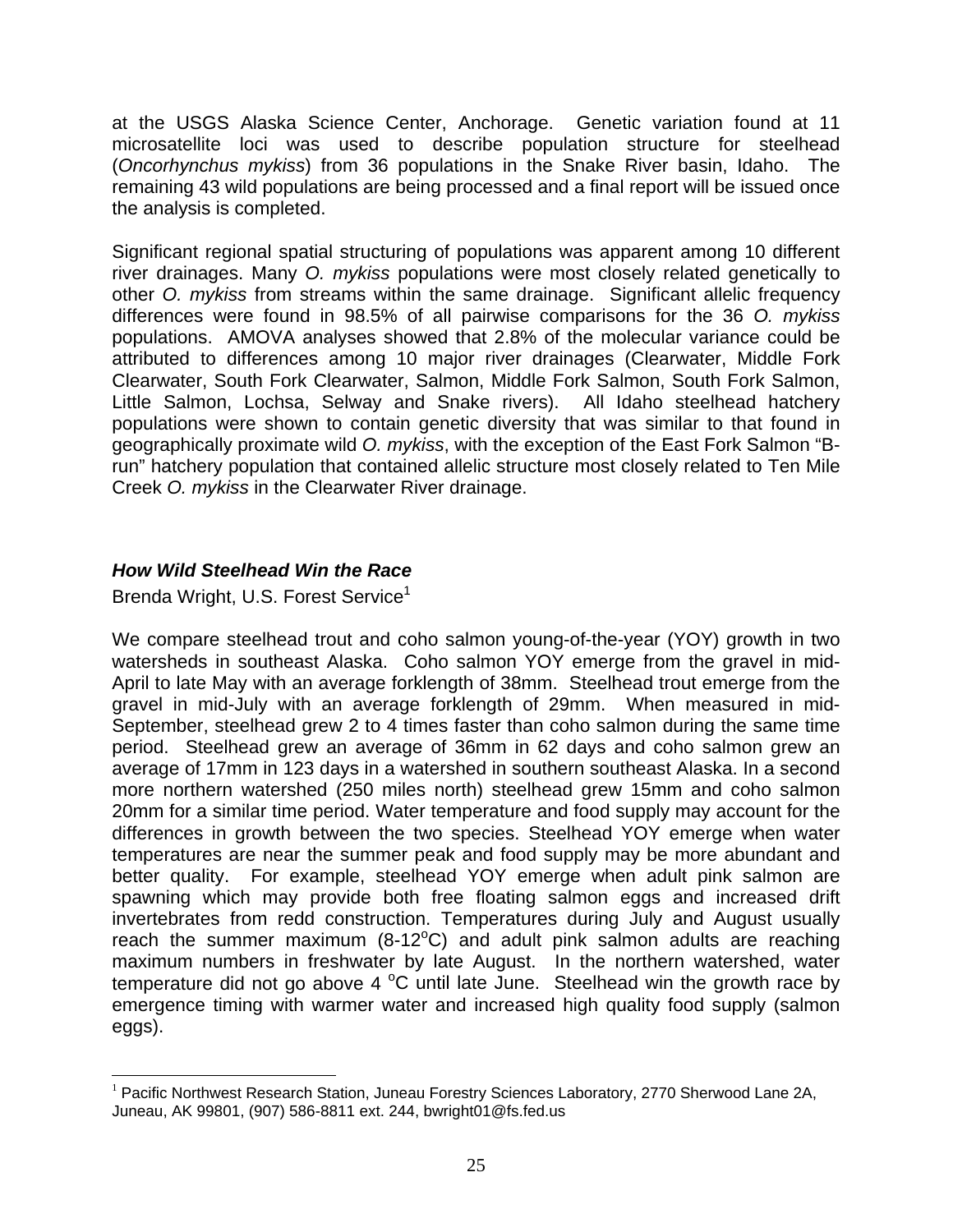<span id="page-27-0"></span>at the USGS Alaska Science Center, Anchorage. Genetic variation found at 11 microsatellite loci was used to describe population structure for steelhead (*Oncorhynchus mykiss*) from 36 populations in the Snake River basin, Idaho. The remaining 43 wild populations are being processed and a final report will be issued once the analysis is completed.

Significant regional spatial structuring of populations was apparent among 10 different river drainages. Many *O. mykiss* populations were most closely related genetically to other *O. mykiss* from streams within the same drainage. Significant allelic frequency differences were found in 98.5% of all pairwise comparisons for the 36 *O. mykiss* populations. AMOVA analyses showed that 2.8% of the molecular variance could be attributed to differences among 10 major river drainages (Clearwater, Middle Fork Clearwater, South Fork Clearwater, Salmon, Middle Fork Salmon, South Fork Salmon, Little Salmon, Lochsa, Selway and Snake rivers). All Idaho steelhead hatchery populations were shown to contain genetic diversity that was similar to that found in geographically proximate wild *O. mykiss*, with the exception of the East Fork Salmon "Brun" hatchery population that contained allelic structure most closely related to Ten Mile Creek *O. mykiss* in the Clearwater River drainage.

### *How Wild Steelhead Win the Race*

Brenda Wright, U.S. Forest Service<sup>1</sup>

We compare steelhead trout and coho salmon young-of-the-year (YOY) growth in two watersheds in southeast Alaska. Coho salmon YOY emerge from the gravel in mid-April to late May with an average forklength of 38mm. Steelhead trout emerge from the gravel in mid-July with an average forklength of 29mm. When measured in mid-September, steelhead grew 2 to 4 times faster than coho salmon during the same time period. Steelhead grew an average of 36mm in 62 days and coho salmon grew an average of 17mm in 123 days in a watershed in southern southeast Alaska. In a second more northern watershed (250 miles north) steelhead grew 15mm and coho salmon 20mm for a similar time period. Water temperature and food supply may account for the differences in growth between the two species. Steelhead YOY emerge when water temperatures are near the summer peak and food supply may be more abundant and better quality. For example, steelhead YOY emerge when adult pink salmon are spawning which may provide both free floating salmon eggs and increased drift invertebrates from redd construction. Temperatures during July and August usually reach the summer maximum (8-12 $^{\circ}$ C) and adult pink salmon adults are reaching maximum numbers in freshwater by late August. In the northern watershed, water temperature did not go above 4  $^{\circ}$ C until late June. Steelhead win the growth race by emergence timing with warmer water and increased high quality food supply (salmon eggs).

<span id="page-27-1"></span> $\overline{a}$ <sup>1</sup> Pacific Northwest Research Station, Juneau Forestry Sciences Laboratory, 2770 Sherwood Lane 2A, Juneau, AK 99801, (907) 586-8811 ext. 244, bwright01@fs.fed.us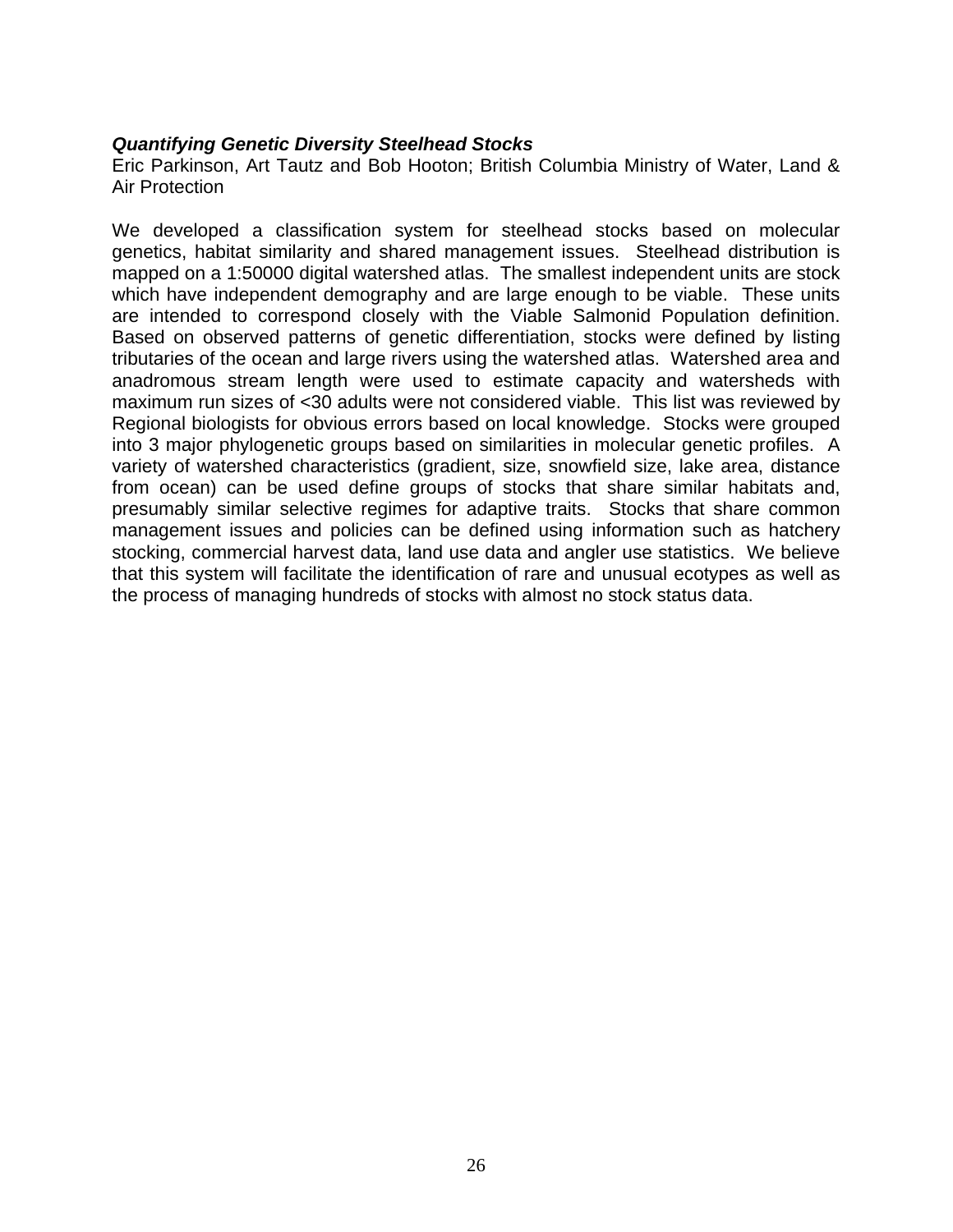#### <span id="page-28-0"></span>*Quantifying Genetic Diversity Steelhead Stocks*

Eric Parkinson, Art Tautz and Bob Hooton; British Columbia Ministry of Water, Land & Air Protection

We developed a classification system for steelhead stocks based on molecular genetics, habitat similarity and shared management issues. Steelhead distribution is mapped on a 1:50000 digital watershed atlas. The smallest independent units are stock which have independent demography and are large enough to be viable. These units are intended to correspond closely with the Viable Salmonid Population definition. Based on observed patterns of genetic differentiation, stocks were defined by listing tributaries of the ocean and large rivers using the watershed atlas. Watershed area and anadromous stream length were used to estimate capacity and watersheds with maximum run sizes of <30 adults were not considered viable. This list was reviewed by Regional biologists for obvious errors based on local knowledge. Stocks were grouped into 3 major phylogenetic groups based on similarities in molecular genetic profiles. A variety of watershed characteristics (gradient, size, snowfield size, lake area, distance from ocean) can be used define groups of stocks that share similar habitats and, presumably similar selective regimes for adaptive traits. Stocks that share common management issues and policies can be defined using information such as hatchery stocking, commercial harvest data, land use data and angler use statistics. We believe that this system will facilitate the identification of rare and unusual ecotypes as well as the process of managing hundreds of stocks with almost no stock status data.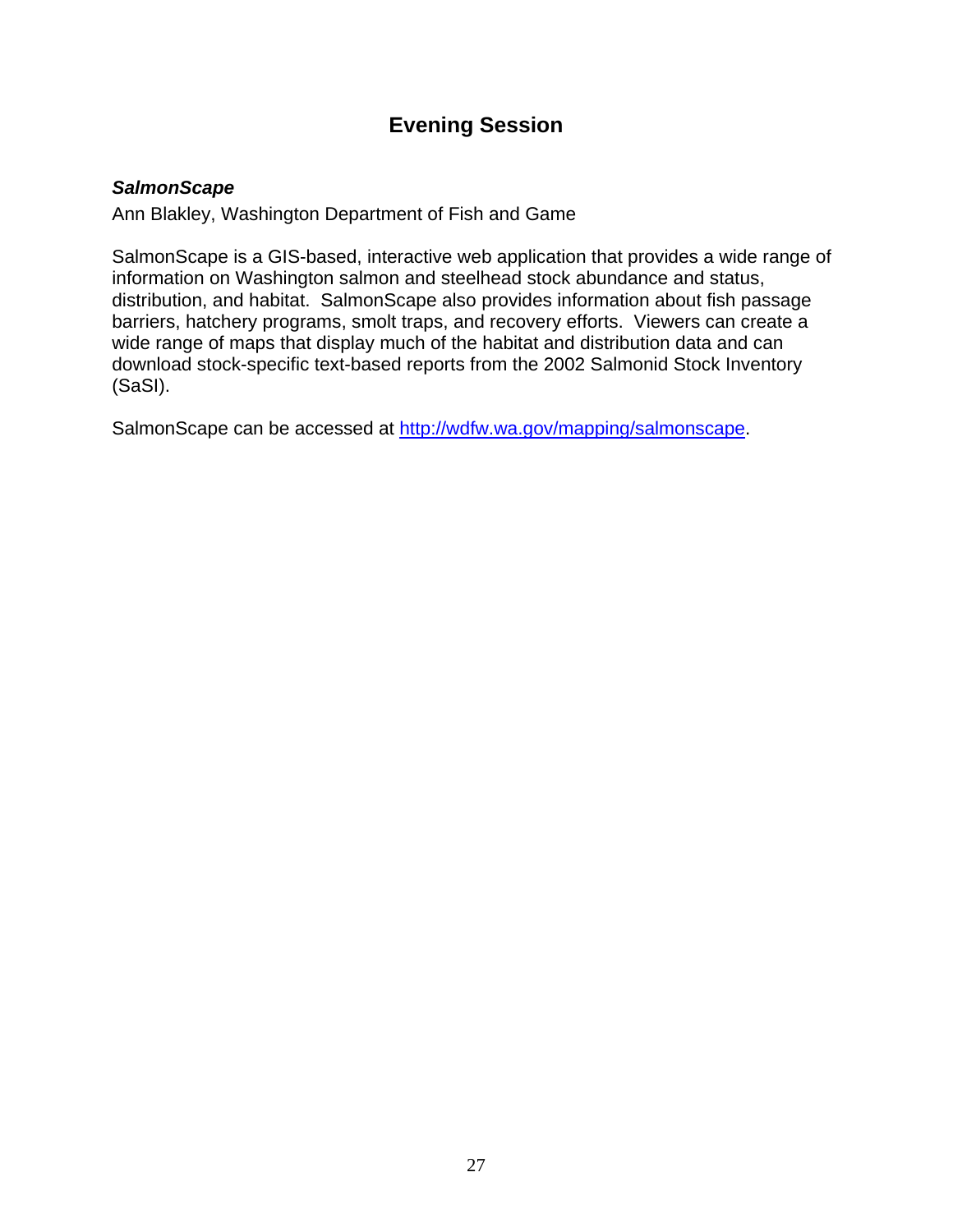# **Evening Session**

#### <span id="page-29-0"></span>*SalmonScape*

Ann Blakley, Washington Department of Fish and Game

SalmonScape is a GIS-based, interactive web application that provides a wide range of information on Washington salmon and steelhead stock abundance and status, distribution, and habitat. SalmonScape also provides information about fish passage barriers, hatchery programs, smolt traps, and recovery efforts. Viewers can create a wide range of maps that display much of the habitat and distribution data and can download stock-specific text-based reports from the 2002 Salmonid Stock Inventory (SaSI).

SalmonScape can be accessed at [http://wdfw.wa.gov/mapping/salmonscape.](http://wdfw.wa.gov/mapping/salmonscape)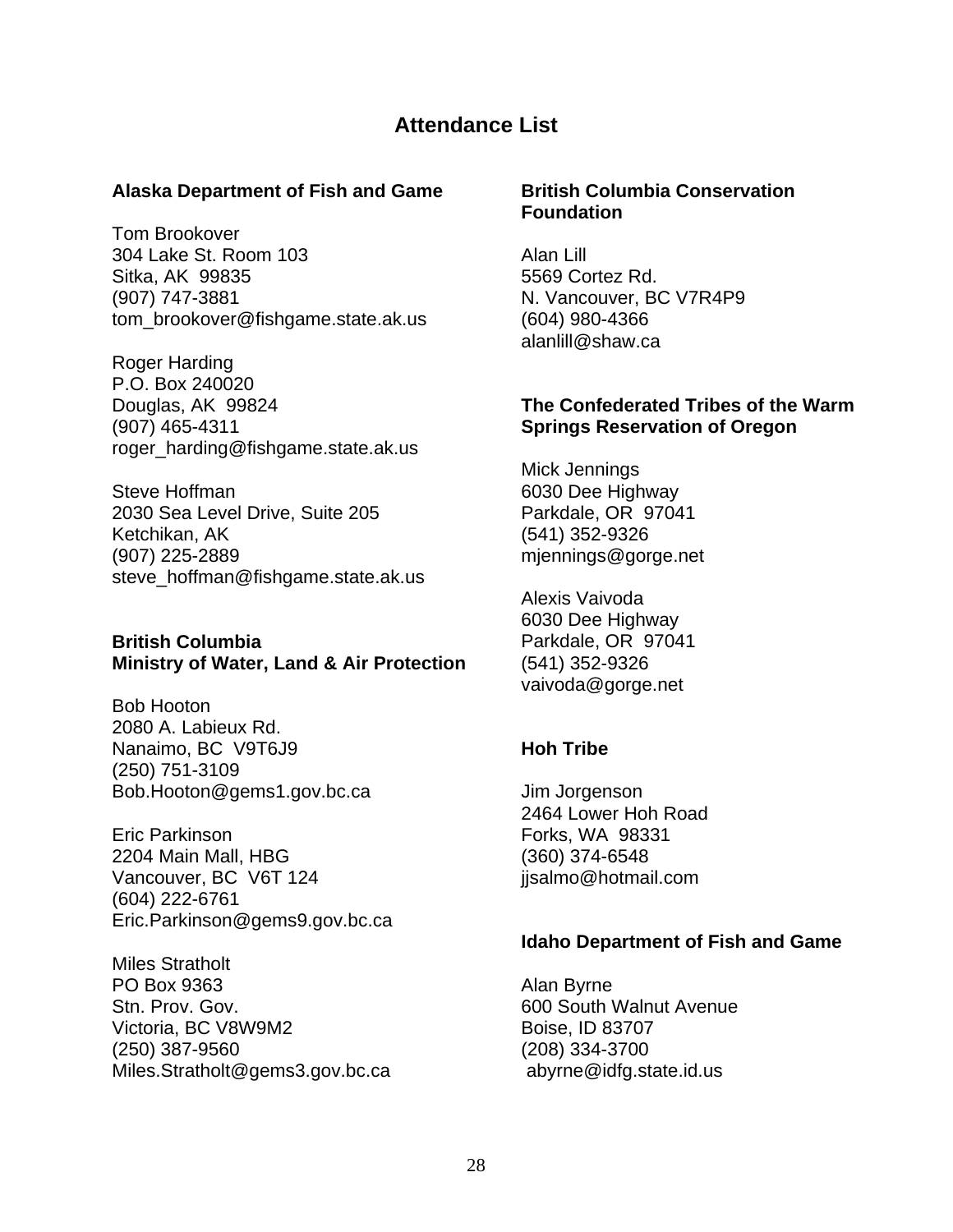# **Attendance List**

#### <span id="page-30-0"></span>**Alaska Department of Fish and Game**

Tom Brookover 304 Lake St. Room 103 Sitka, AK 99835 (907) 747-3881 tom\_[brookover@fishgame.state.ak.us](mailto:brookover@fishgame.state.ak.us)

Roger Harding P.O. Box 240020 Douglas, AK 99824 (907) 465-4311 [roger\\_harding@fishgame.state.ak.us](mailto:roger_harding@fishgame.state.ak.us)

Steve Hoffman 2030 Sea Level Drive, Suite 205 Ketchikan, AK (907) 225-2889 [steve\\_hoffman@fishgame.state.ak.us](mailto:steve_hoffman@fishgame.state.ak.us)

#### **British Columbia Ministry of Water, Land & Air Protection**

Bob Hooton 2080 A. Labieux Rd. Nanaimo, BC V9T6J9 (250) 751-3109 [Bob.Hooton@gems1.gov.bc.ca](mailto:Bob.Hooton@gems1.gov.bc.ca)

Eric Parkinson 2204 Main Mall, HBG Vancouver, BC V6T 124 (604) 222-6761 [Eric.Parkinson@gems9.gov.bc](mailto:Eric.Parkinson@gems9.gov.bc).ca

Miles Stratholt PO Box 9363 Stn. Prov. Gov. Victoria, BC V8W9M2 (250) 387-9560 [Miles.Stratholt@gems3.gov.bc.](mailto:Miles.Stratholt@gems3.gov.bc)ca

#### **British Columbia Conservation Foundation**

Alan Lill 5569 Cortez Rd. N. Vancouver, BC V7R4P9 (604) 980-4366 alanlill@shaw.ca

#### **The Confederated Tribes of the Warm Springs Reservation of Oregon**

Mick Jennings 6030 Dee Highway Parkdale, OR 97041 (541) 352-9326 [mjennings@gorge.net](mailto:mjennings@gorge.net)

Alexis Vaivoda 6030 Dee Highway Parkdale, OR 97041 (541) 352-9326 vaivoda@gorge.net

### **Hoh Tribe**

Jim Jorgenson 2464 Lower Hoh Road Forks, WA 98331 (360) 374-6548 [jjsalmo@hotmail.com](mailto:jjsalmo@hotmail.com)

### **Idaho Department of Fish and Game**

Alan Byrne 600 South Walnut Avenue Boise, ID 83707 (208) 334-3700 [abyrne@idfg.state.id.us](mailto:abyrne@idfg.state.id.us)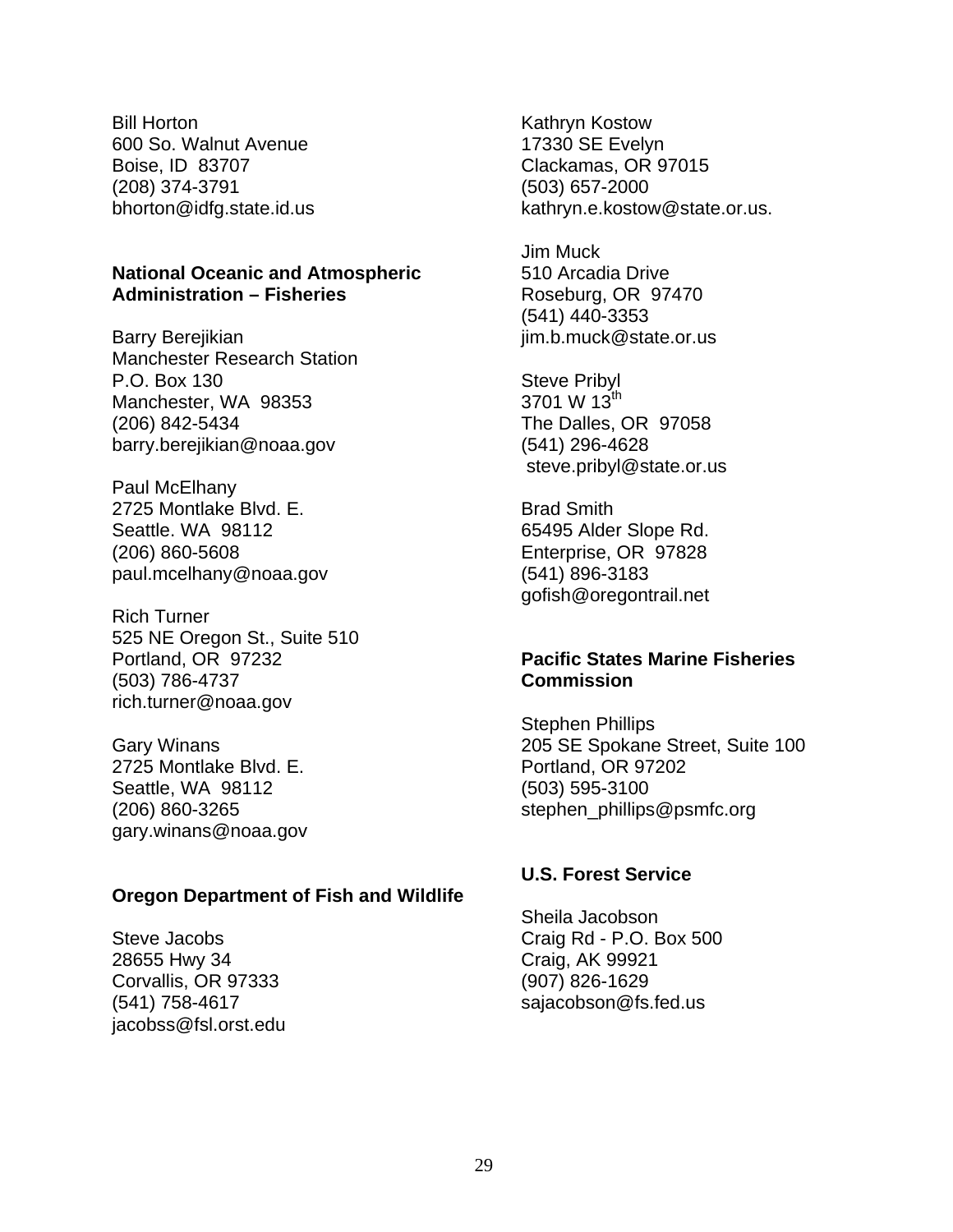<span id="page-31-0"></span>Bill Horton 600 So. Walnut Avenue Boise, ID 83707 (208) 374-3791 [bhorton@idfg.state.id.us](mailto:bhorton@idfg.state.id.us)

#### **National Oceanic and Atmospheric Administration – Fisheries**

Barry Berejikian Manchester Research Station P.O. Box 130 Manchester, WA 98353 (206) 842-5434 barry.berejikian@noaa.gov

Paul McElhany 2725 Montlake Blvd. E. Seattle. WA 98112 (206) 860-5608 [paul.mcelhany@noaa.gov](mailto:paul.mcelhany@noaa.gov)

Rich Turner 525 NE Oregon St., Suite 510 Portland, OR 97232 (503) 786-4737 rich.turner@noaa.gov

Gary Winans 2725 Montlake Blvd. E. Seattle, WA 98112 (206) 860-3265 gary.winans@noaa.gov

#### **Oregon Department of Fish and Wildlife**

Steve Jacobs 28655 Hwy 34 Corvallis, OR 97333 (541) 758-4617 [jacobss@fsl.orst.edu](mailto:jac.bss@fsl.orst.edu)  Kathryn Kostow 17330 SE Evelyn Clackamas, OR 97015 (503) 657-2000 [kathryn.e.kostow@state.or.us](mailto:kathryn.e.kostow@state.or.us).

Jim Muck 510 Arcadia Drive Roseburg, OR 97470 (541) 440-3353 [jim.b.muck@state.or.us](mailto:jim.b.much@state.or.us)

Steve Pribyl 3701 W 13<sup>th</sup> The Dalles, OR 97058 (541) 296-4628 [steve.pribyl@state.or.us](mailto:steve.pribyl@state.or.us)

Brad Smith 65495 Alder Slope Rd. Enterprise, OR 97828 (541) 896-3183 [gofish@oregontrail.net](mailto:gofish@oregontrail.net)

#### **Pacific States Marine Fisheries Commission**

Stephen Phillips 205 SE Spokane Street, Suite 100 Portland, OR 97202 (503) 595-3100 [stephen\\_phillips@psmfc.org](mailto:stephen_phillips@psmfc.org)

#### **U.S. Forest Service**

Sheila Jacobson Craig Rd - P.O. Box 500 Craig, AK 99921 (907) 826-1629 [sajacobson@fs.fed.us](mailto:sajacobson@fs.fed.us)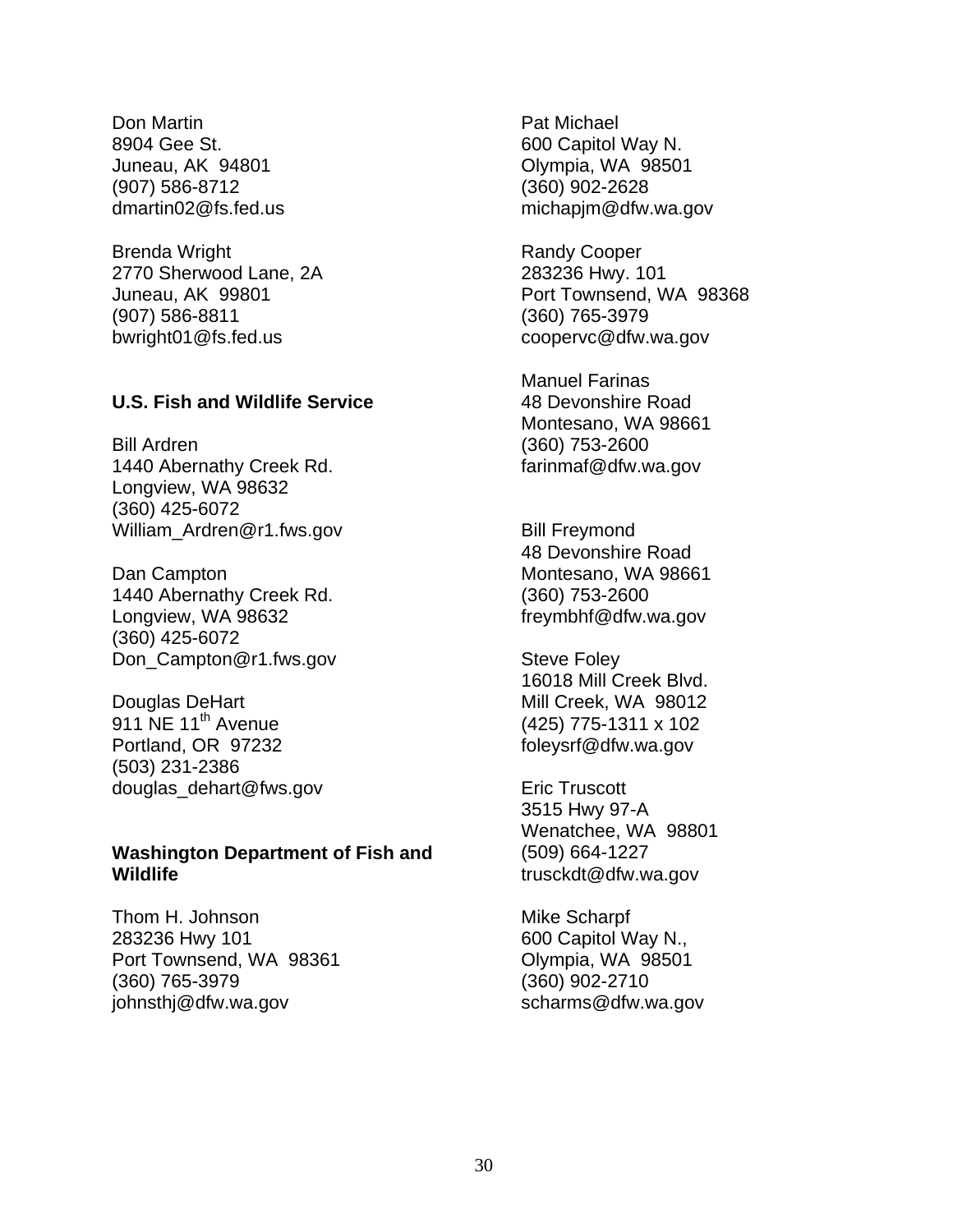<span id="page-32-0"></span>Don Martin 8904 Gee St. Juneau, AK 94801 (907) 586-8712 [dmartin02@fs.fed.us](mailto:dmartinoz@fs.fed.us)

Brenda Wright 2770 Sherwood Lane, 2A Juneau, AK 99801 (907) 586-8811 bwright01@fs.fed.us

#### **U.S. Fish and Wildlife Service**

Bill Ardren 1440 Abernathy Creek Rd. Longview, WA 98632 (360) 425-6072 William\_Ardren@r1.fws.gov

Dan Campton 1440 Abernathy Creek Rd. Longview, WA 98632 (360) 425-6072 Don Campton@r1.fws.gov

Douglas DeHart 911 NE 11<sup>th</sup> Avenue Portland, OR 97232 (503) 231-2386 douglas\_dehart@fws.gov

#### **Washington Department of Fish and Wildlife**

Thom H. Johnson 283236 Hwy 101 Port Townsend, WA 98361 (360) 765-3979 [johnsthj@dfw.wa.gov](mailto:johnsthj@dfw.wa.gov)

Pat Michael 600 Capitol Way N. Olympia, WA 98501 (360) 902-2628 [michapjm@dfw.wa.gov](mailto:michapjm@dfw.wa.gov)

Randy Cooper 283236 Hwy. 101 Port Townsend, WA 98368 (360) 765-3979 [coopervc@dfw.wa.gov](mailto:coopervc@dfw.wa.gov)

Manuel Farinas 48 Devonshire Road Montesano, WA 98661 (360) 753-2600 [farinmaf@dfw.wa.gov](mailto:farinmaf@dfw.wa.gov)

Bill Freymond 48 Devonshire Road Montesano, WA 98661 (360) 753-2600 [freymbhf@dfw.wa.gov](mailto:freymbhf@dfw.wa.gov)

Steve Foley 16018 Mill Creek Blvd. Mill Creek, WA 98012 (425) 775-1311 x 102 [foleysrf@dfw.wa.gov](mailto:foleysrf@dfw.wa.gov)

Eric Truscott 3515 Hwy 97-A Wenatchee, WA 98801 (509) 664-1227 [trusckdt@dfw.wa.gov](mailto:trusckdt@dfw.wa.gov)

Mike Scharpf 600 Capitol Way N., Olympia, WA 98501 (360) 902-2710 [scharms@dfw.wa.gov](mailto:scharms@dfw.wa.gov)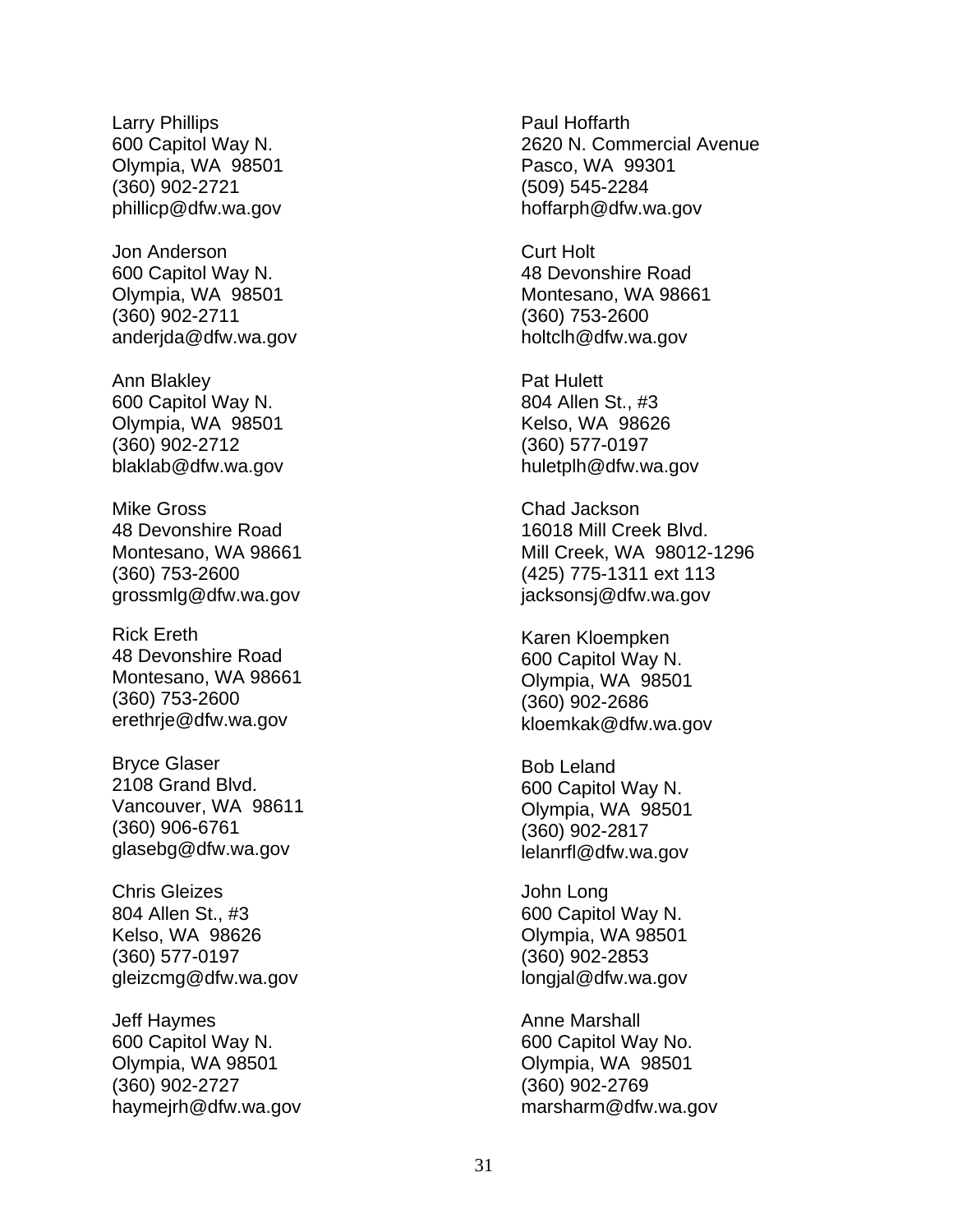Larry Phillips 600 Capitol Way N. Olympia, WA 98501 (360) 902-2721 [phillicp@dfw.wa.gov](mailto:phillicp@dfw.wa.gov)

Jon Anderson 600 Capitol Way N. Olympia, WA 98501 (360) 902-2711 anderjda@dfw.wa.gov

Ann Blakley 600 Capitol Way N. Olympia, WA 98501 (360) 902-2712 [blaklab@dfw.wa.gov](mailto:blaklab@dfw.wa.gov)

Mike Gross 48 Devonshire Road Montesano, WA 98661 (360) 753-2600 [grossmlg@dfw.wa.gov](mailto:grossmlg@dfw.wa.gov)

Rick Ereth 48 Devonshire Road Montesano, WA 98661 (360) 753-2600 [erethrje@dfw.wa.gov](mailto:erethrje@dfw.wa.gov)

Bryce Glaser 2108 Grand Blvd. Vancouver, WA 98611 (360) 906-6761 [glasebg@dfw.wa.gov](mailto:glasebg@dfw.wa.gov)

Chris Gleizes 804 Allen St., #3 Kelso, WA 98626 (360) 577-0197 [gleizcmg@dfw.wa.gov](mailto:gleizcmg@dfw.wa.gov)

Jeff Haymes 600 Capitol Way N. Olympia, WA 98501 (360) 902-2727 haymejrh@dfw.wa.gov Paul Hoffarth 2620 N. Commercial Avenue Pasco, WA 99301 (509) 545-2284 [hoffarph@dfw.wa.gov](mailto:hoffarph@dfw.wa.gov)

Curt Holt 48 Devonshire Road Montesano, WA 98661 (360) 753-2600 holtclh@dfw.wa.gov

Pat Hulett 804 Allen St., #3 Kelso, WA 98626 (360) 577-0197 huletplh@dfw.wa.gov

Chad Jackson 16018 Mill Creek Blvd. Mill Creek, WA 98012-1296 (425) 775-1311 ext 113 jacksonsj@dfw.wa.gov

Karen Kloempken 600 Capitol Way N. Olympia, WA 98501 (360) 902-2686 [kloemkak@dfw.wa.gov](mailto:kloemkak@dfw.wa.gov)

Bob Leland 600 Capitol Way N. Olympia, WA 98501 (360) 902-2817 [lelanrfl@dfw.wa.gov](mailto:lelanrfl@dfw.wa.gov)

John Long 600 Capitol Way N. Olympia, WA 98501 (360) 902-2853 longjal@dfw.wa.gov

Anne Marshall 600 Capitol Way No. Olympia, WA 98501 (360) 902-2769 [marsharm@dfw.wa.gov](mailto:marsharm@dw.wa.gov)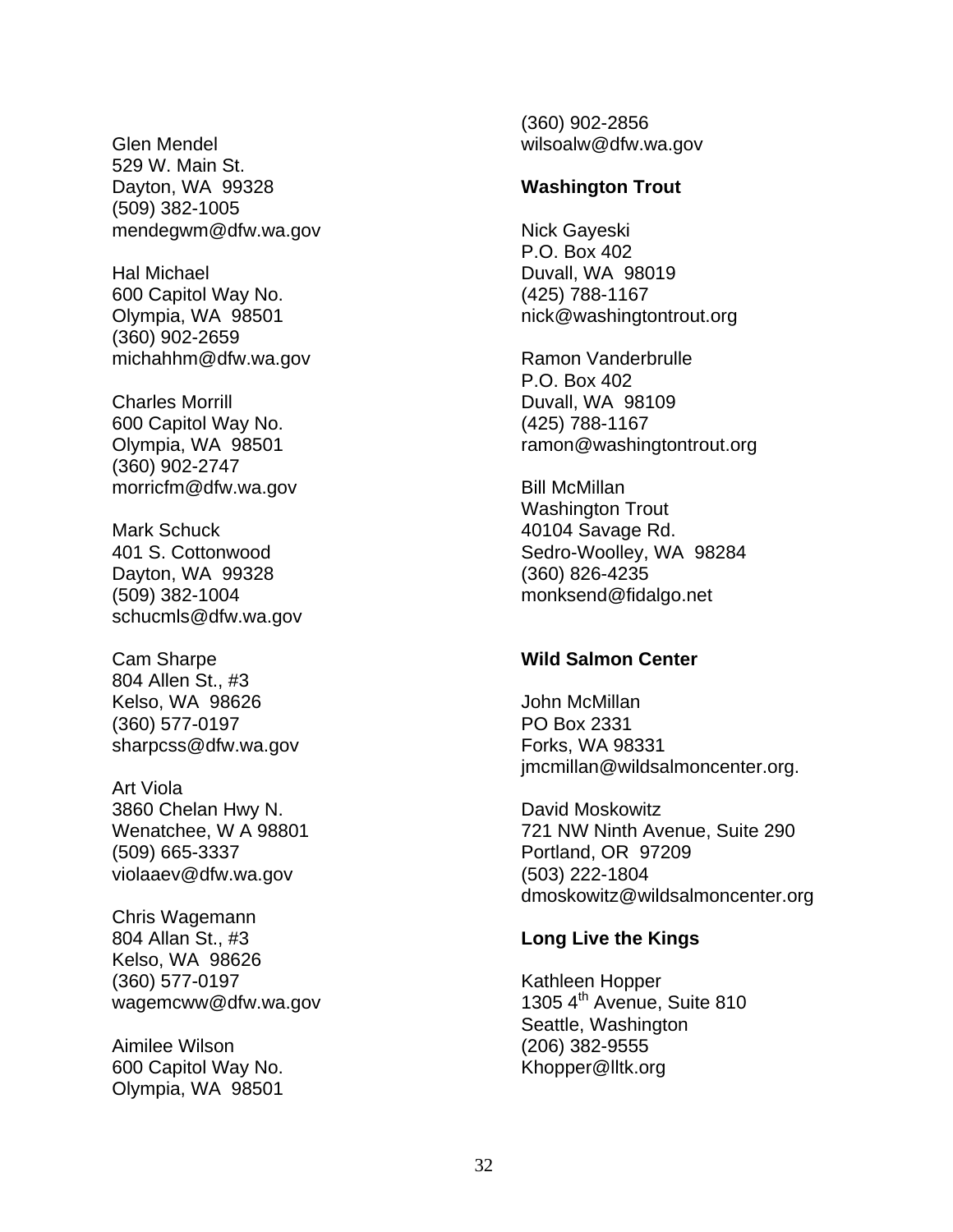<span id="page-34-0"></span>Glen Mendel 529 W. Main St. Dayton, WA 99328 (509) 382-1005 [mendegwm@dfw.wa.gov](mailto:mendegwm@dfw.wa.gov)

Hal Michael 600 Capitol Way No. Olympia, WA 98501 (360) 902-2659 [michahhm@dfw.wa.gov](mailto:michahhm@dfw.wa.gov)

Charles Morrill 600 Capitol Way No. Olympia, WA 98501 (360) 902-2747 morricfm@dfw.wa.gov

Mark Schuck 401 S. Cottonwood Dayton, WA 99328 (509) 382-1004 [schucmls@dfw.wa.gov](mailto:schucmls@dfw.wa.gov)

Cam Sharpe 804 Allen St., #3 Kelso, WA 98626 (360) 577-0197 [sharpcss@dfw.wa.gov](mailto:sharpcss@dfw.wa.gov)

Art Viola 3860 Chelan Hwy N. Wenatchee, W A 98801 (509) 665-3337 [violaaev@dfw.wa.gov](mailto:violaaev@dfw.wa.gov)

Chris Wagemann 804 Allan St., #3 Kelso, WA 98626 (360) 577-0197 [wagemcww@dfw.wa.gov](mailto:wagemcww@dfw.wa.gov)

Aimilee Wilson 600 Capitol Way No. Olympia, WA 98501

(360) 902-2856 wilsoalw@dfw.wa.gov

#### **Washington Trout**

Nick Gayeski P.O. Box 402 Duvall, WA 98019 (425) 788-1167 [nick@washingtontrout.org](mailto:nick@washingtontrout.org)

Ramon Vanderbrulle P.O. Box 402 Duvall, WA 98109 (425) 788-1167 [ramon@washingtontrout.org](mailto:ramon@washingtontrout.org)

Bill McMillan Washington Trout 40104 Savage Rd. Sedro-Woolley, WA 98284 (360) 826-4235 [monksend@fidalgo.net](mailto:monksend@fidalgo.net)

#### **Wild Salmon Center**

John McMillan PO Box 2331 Forks, WA 98331 jmcmillan@wildsalmoncenter.org.

David Moskowitz 721 NW Ninth Avenue, Suite 290 Portland, OR 97209 (503) 222-1804 [dmoskowitz@wildsalmoncenter.org](mailto:dmoskowitz@wildsalmoncenter.org)

#### **Long Live the Kings**

Kathleen Hopper 1305 4<sup>th</sup> Avenue, Suite 810 Seattle, Washington (206) 382-9555 [Khopper@lltk.org](mailto:Khopper@lltk.org)